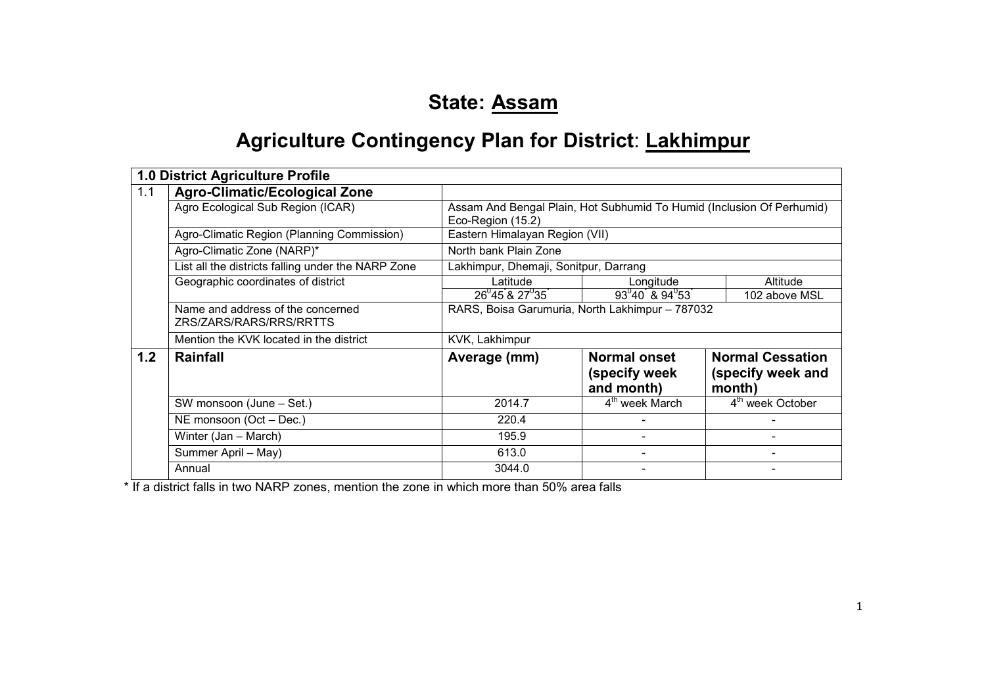# State: Assam

# **Agriculture Contingency Plan for District: Lakhimpur**

|     | 1.0 District Agriculture Profile                             |                                                                                            |                                                    |                                                        |  |
|-----|--------------------------------------------------------------|--------------------------------------------------------------------------------------------|----------------------------------------------------|--------------------------------------------------------|--|
| 1.1 | <b>Agro-Climatic/Ecological Zone</b>                         |                                                                                            |                                                    |                                                        |  |
|     | Agro Ecological Sub Region (ICAR)                            | Assam And Bengal Plain, Hot Subhumid To Humid (Inclusion Of Perhumid)<br>Eco-Region (15.2) |                                                    |                                                        |  |
|     | Agro-Climatic Region (Planning Commission)                   | Eastern Himalayan Region (VII)                                                             |                                                    |                                                        |  |
|     | Agro-Climatic Zone (NARP)*                                   | North bank Plain Zone                                                                      |                                                    |                                                        |  |
|     | List all the districts falling under the NARP Zone           | Lakhimpur, Dhemaji, Sonitpur, Darrang                                                      |                                                    |                                                        |  |
|     | Geographic coordinates of district                           | Latitude                                                                                   | Longitude                                          | Altitude                                               |  |
|     |                                                              | $26^{0}45^{0}8$ 27 $^{0}35^{0}$                                                            | $93^{0}40^{7}$ & $94^{0}53^{7}$                    | 102 above MSL                                          |  |
|     | Name and address of the concerned<br>ZRS/ZARS/RARS/RRS/RRTTS | RARS, Boisa Garumuria, North Lakhimpur - 787032                                            |                                                    |                                                        |  |
|     | Mention the KVK located in the district                      | KVK, Lakhimpur                                                                             |                                                    |                                                        |  |
| 1.2 | <b>Rainfall</b>                                              | Average (mm)                                                                               | <b>Normal onset</b><br>(specify week<br>and month) | <b>Normal Cessation</b><br>(specify week and<br>month) |  |
|     | SW monsoon (June - Set.)                                     | 2014.7                                                                                     | 4 <sup>th</sup> week March                         | 4 <sup>th</sup> week October                           |  |
|     | NE monsoon (Oct - Dec.)                                      | 220.4                                                                                      |                                                    |                                                        |  |
|     | Winter (Jan - March)                                         | 195.9                                                                                      | $\qquad \qquad \blacksquare$                       |                                                        |  |
|     | Summer April - May)                                          | 613.0                                                                                      | $\overline{\phantom{0}}$                           |                                                        |  |
|     | Annual                                                       | 3044.0                                                                                     |                                                    |                                                        |  |

\* If a district falls in two NARP zones, mention the zone in which more than 50% area falls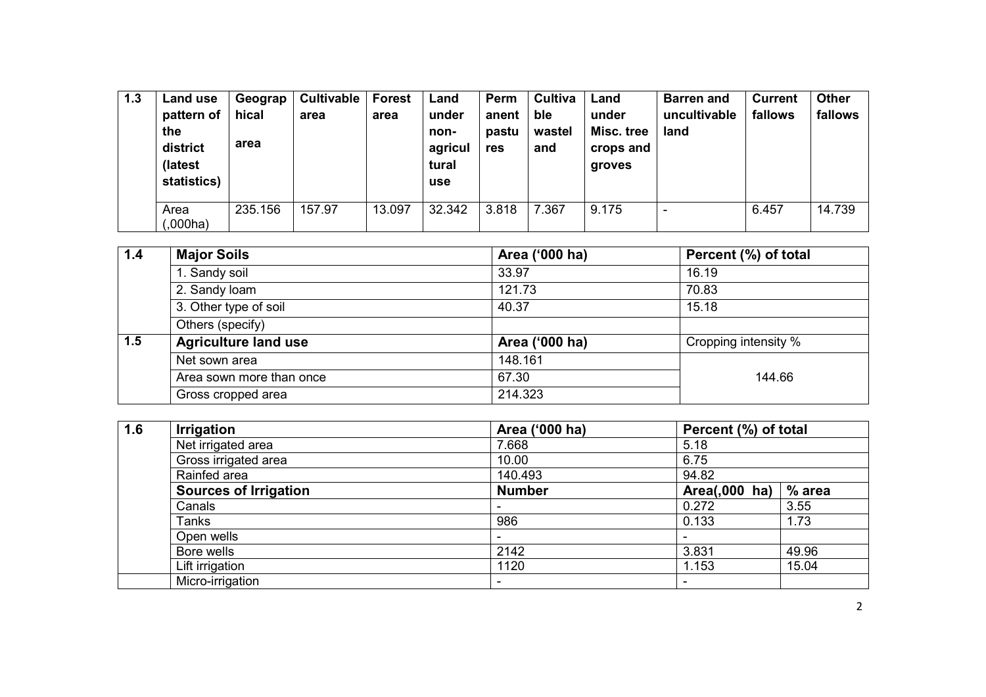| 1.3 | Land use<br>pattern of<br>the<br>district<br>(latest<br>statistics) | Geograp<br>hical<br>area | <b>Cultivable</b><br>area | <b>Forest</b><br>area | Land<br>under<br>non-<br>agricul<br>tural<br>use | Perm<br>anent<br>pastu<br>res | Cultiva<br>ble<br>wastel<br>and | Land<br>under<br>Misc. tree<br>crops and<br>groves | <b>Barren and</b><br>uncultivable<br>land | <b>Current</b><br>fallows | <b>Other</b><br>fallows |
|-----|---------------------------------------------------------------------|--------------------------|---------------------------|-----------------------|--------------------------------------------------|-------------------------------|---------------------------------|----------------------------------------------------|-------------------------------------------|---------------------------|-------------------------|
|     | Area<br>(000ha)                                                     | 235.156                  | 157.97                    | 13.097                | 32.342                                           | 3.818                         | 7.367                           | 9.175                                              | $\overline{\phantom{0}}$                  | 6.457                     | 14.739                  |

| 1.4         | <b>Major Soils</b>          | Area ('000 ha) | Percent (%) of total |
|-------------|-----------------------------|----------------|----------------------|
|             | 1. Sandy soil               | 33.97          | 16.19                |
|             | 2. Sandy loam               | 121.73         | 70.83                |
|             | 3. Other type of soil       | 40.37          | 15.18                |
|             | Others (specify)            |                |                      |
| $\vert$ 1.5 | <b>Agriculture land use</b> | Area ('000 ha) | Cropping intensity % |
|             | Net sown area               | 148.161        |                      |
|             | Area sown more than once    | 67.30          | 144.66               |
|             | Gross cropped area          | 214.323        |                      |

| 1.6 | <b>Irrigation</b>            | Area ('000 ha) | Percent (%) of total     |        |
|-----|------------------------------|----------------|--------------------------|--------|
|     | Net irrigated area           | 7.668          | 5.18                     |        |
|     | Gross irrigated area         | 10.00          | 6.75                     |        |
|     | Rainfed area                 | 140.493        | 94.82                    |        |
|     | <b>Sources of Irrigation</b> | <b>Number</b>  | Area(,000 ha)            | % area |
|     | Canals                       |                | 0.272                    | 3.55   |
|     | Tanks                        | 986            | 0.133                    | 1.73   |
|     | Open wells                   |                | $\overline{\phantom{0}}$ |        |
|     | Bore wells                   | 2142           | 3.831                    | 49.96  |
|     | Lift irrigation              | 1120           | 1.153                    | 15.04  |
|     | Micro-irrigation             |                | -                        |        |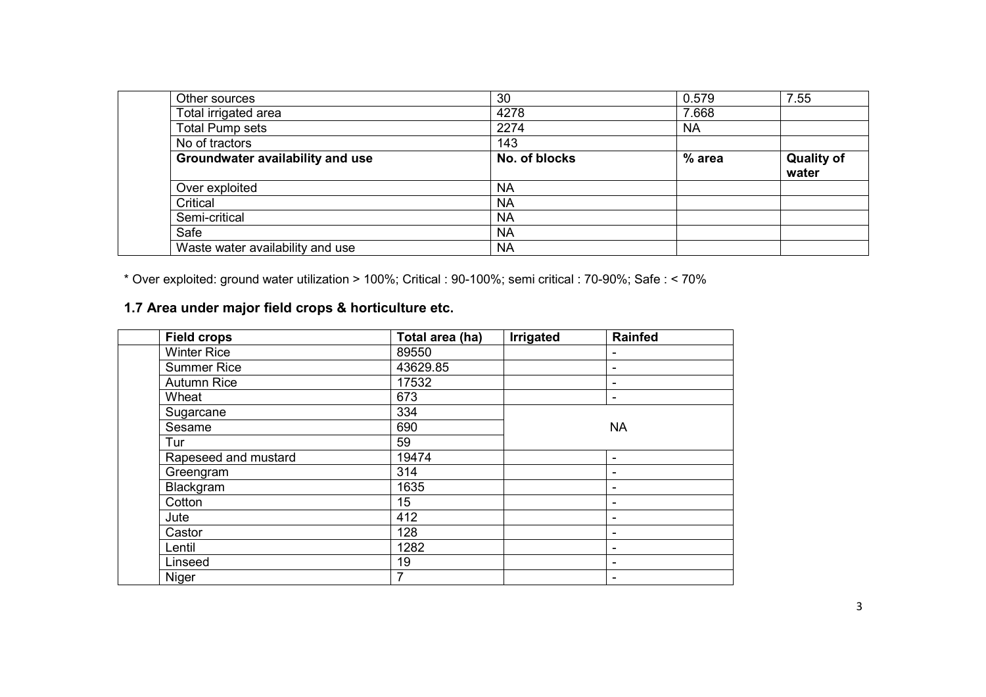| Other sources                    | 30            | 0.579     | 7.55                       |
|----------------------------------|---------------|-----------|----------------------------|
| Total irrigated area             | 4278          | 7.668     |                            |
| <b>Total Pump sets</b>           | 2274          | <b>NA</b> |                            |
| No of tractors                   | 143           |           |                            |
| Groundwater availability and use | No. of blocks | % area    | <b>Quality of</b><br>water |
| Over exploited                   | <b>NA</b>     |           |                            |
| Critical                         | <b>NA</b>     |           |                            |
| Semi-critical                    | <b>NA</b>     |           |                            |
| Safe                             | <b>NA</b>     |           |                            |
| Waste water availability and use | <b>NA</b>     |           |                            |

\* Over exploited: ground water utilization > 100%; Critical : 90-100%; semi critical : 70-90%; Safe : < 70%

#### 1.7 Area under major field crops & horticulture etc.

| <b>Field crops</b>   | Total area (ha) | Irrigated | <b>Rainfed</b>           |
|----------------------|-----------------|-----------|--------------------------|
| <b>Winter Rice</b>   | 89550           |           |                          |
| <b>Summer Rice</b>   | 43629.85        |           | ۰                        |
| <b>Autumn Rice</b>   | 17532           |           | ۰                        |
| Wheat                | 673             |           | ۰                        |
| Sugarcane            | 334             |           |                          |
| Sesame               | 690             |           | <b>NA</b>                |
| Tur                  | 59              |           |                          |
| Rapeseed and mustard | 19474           |           | -                        |
| Greengram            | 314             |           | -                        |
| Blackgram            | 1635            |           | ۰                        |
| Cotton               | 15              |           | -                        |
| Jute                 | 412             |           | -                        |
| Castor               | 128             |           | ۰                        |
| Lentil               | 1282            |           | $\overline{\phantom{0}}$ |
| Linseed              | 19              |           | ۰                        |
| Niger                | 7               |           |                          |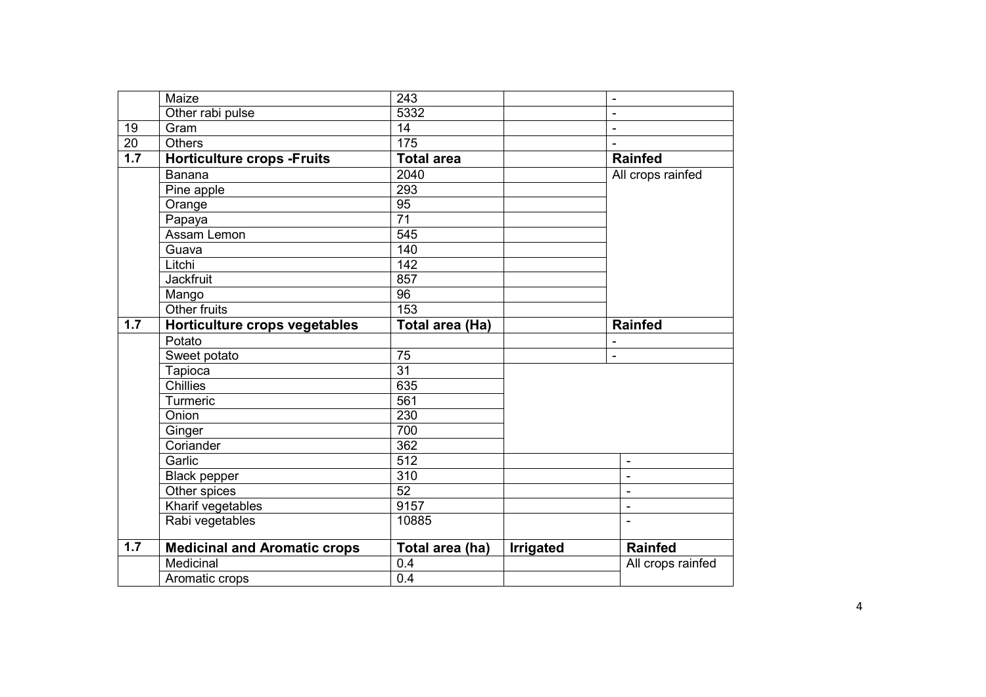|                 | Maize                               | 243                     |           | $\blacksquare$           |
|-----------------|-------------------------------------|-------------------------|-----------|--------------------------|
|                 | Other rabi pulse                    | 5332                    |           | $\blacksquare$           |
| 19              | Gram                                | 14                      |           | $\blacksquare$           |
| $\overline{20}$ | <b>Others</b>                       | $\frac{175}{175}$       |           | $\overline{a}$           |
| 1.7             | <b>Horticulture crops -Fruits</b>   | <b>Total area</b>       |           | <b>Rainfed</b>           |
|                 | <b>Banana</b>                       | 2040                    |           | All crops rainfed        |
|                 | Pine apple                          | 293                     |           |                          |
|                 | Orange                              | $\overline{95}$         |           |                          |
|                 | Papaya                              | $\overline{71}$         |           |                          |
|                 | Assam Lemon                         | $\overline{545}$        |           |                          |
|                 | Guava                               | 140                     |           |                          |
|                 | Litchi                              | 142                     |           |                          |
|                 | <b>Jackfruit</b>                    | 857                     |           |                          |
|                 | Mango                               | $\overline{96}$         |           |                          |
|                 | Other fruits                        | 153                     |           |                          |
| 1.7             | Horticulture crops vegetables       | Total area (Ha)         |           | <b>Rainfed</b>           |
|                 | Potato                              |                         |           | $\overline{\phantom{a}}$ |
|                 |                                     |                         |           |                          |
|                 | Sweet potato                        | 75                      |           | $\overline{\phantom{a}}$ |
|                 | Tapioca                             | $\overline{31}$         |           |                          |
|                 | <b>Chillies</b>                     | 635                     |           |                          |
|                 | Turmeric                            | 561                     |           |                          |
|                 | Onion                               | 230                     |           |                          |
|                 | Ginger                              | 700                     |           |                          |
|                 | Coriander                           | 362                     |           |                          |
|                 | Garlic                              | $\overline{512}$        |           | $\blacksquare$           |
|                 | <b>Black pepper</b>                 | 310                     |           | $\overline{a}$           |
|                 | Other spices                        | 52                      |           | $\blacksquare$           |
|                 | Kharif vegetables                   | 9157                    |           | $\overline{a}$           |
|                 | Rabi vegetables                     | 10885                   |           |                          |
| 1.7             | <b>Medicinal and Aromatic crops</b> | Total area (ha)         | Irrigated | <b>Rainfed</b>           |
|                 | Medicinal<br>Aromatic crops         | 0.4<br>$\overline{0.4}$ |           | All crops rainfed        |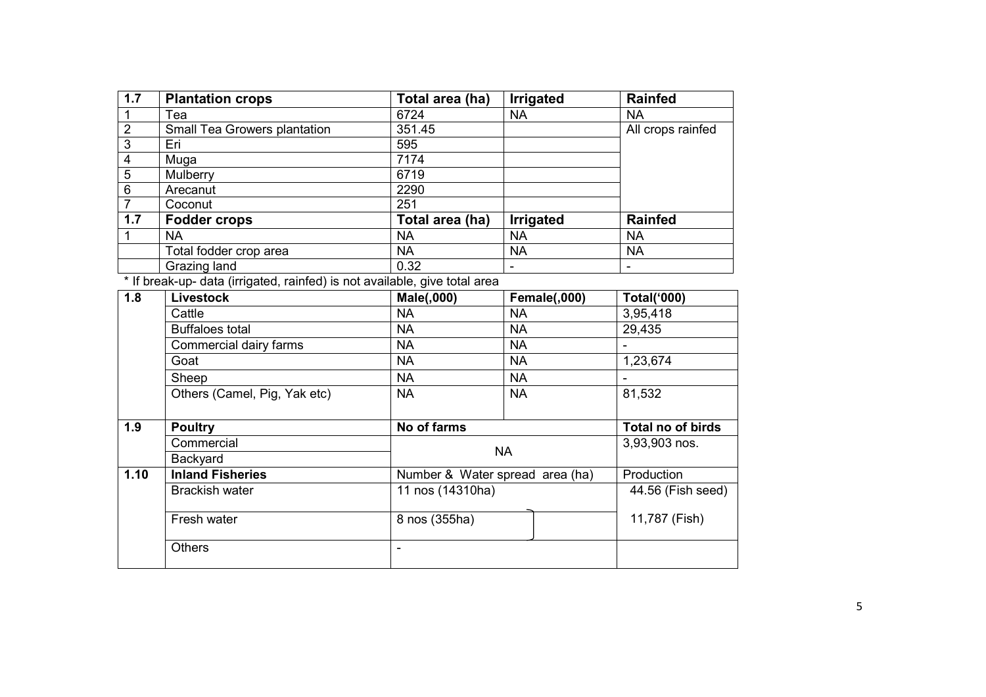| 1.7                     | <b>Plantation crops</b>                                                    | Total area (ha)                 | Irrigated           | Rainfed            |
|-------------------------|----------------------------------------------------------------------------|---------------------------------|---------------------|--------------------|
| $\mathbf 1$             | Tea                                                                        | 6724                            | <b>NA</b>           | <b>NA</b>          |
| $\overline{2}$          | Small Tea Growers plantation                                               | 351.45                          |                     | All crops rainfed  |
| $\overline{3}$          | Eri                                                                        | 595                             |                     |                    |
| $\overline{\mathbf{4}}$ | Muga                                                                       | 7174                            |                     |                    |
| 5                       | Mulberry                                                                   | 6719                            |                     |                    |
| $\overline{6}$          | Arecanut                                                                   | 2290                            |                     |                    |
| $\overline{7}$          | Coconut                                                                    | 251                             |                     |                    |
| 1.7                     | <b>Fodder crops</b>                                                        | Total area (ha)                 | Irrigated           | <b>Rainfed</b>     |
| $\mathbf{1}$            | <b>NA</b>                                                                  | <b>NA</b>                       | <b>NA</b>           | <b>NA</b>          |
|                         | Total fodder crop area                                                     | <b>NA</b>                       | <b>NA</b>           | <b>NA</b>          |
|                         | Grazing land                                                               | 0.32                            |                     |                    |
|                         | * If break-up- data (irrigated, rainfed) is not available, give total area |                                 |                     |                    |
| 1.8                     | <b>Livestock</b>                                                           | <b>Male(,000)</b>               | <b>Female(,000)</b> | <b>Total('000)</b> |
|                         | Cattle                                                                     | <b>NA</b>                       | <b>NA</b>           | 3,95,418           |
|                         | <b>Buffaloes total</b>                                                     | <b>NA</b>                       | <b>NA</b>           | 29,435             |
|                         | Commercial dairy farms                                                     | <b>NA</b>                       | <b>NA</b>           |                    |
|                         | Goat                                                                       | <b>NA</b>                       | <b>NA</b>           | 1,23,674           |
|                         | Sheep                                                                      | <b>NA</b>                       | <b>NA</b>           |                    |
|                         | Others (Camel, Pig, Yak etc)                                               | <b>NA</b>                       | <b>NA</b>           | 81,532             |
|                         |                                                                            |                                 |                     |                    |
| 1.9                     | <b>Poultry</b>                                                             | No of farms                     |                     | Total no of birds  |
|                         | Commercial                                                                 |                                 |                     | 3,93,903 nos.      |
|                         | Backyard                                                                   |                                 | <b>NA</b>           |                    |
| 1.10                    | <b>Inland Fisheries</b>                                                    | Number & Water spread area (ha) |                     | Production         |
|                         | <b>Brackish water</b>                                                      | 11 nos (14310ha)                |                     | 44.56 (Fish seed)  |
|                         |                                                                            |                                 |                     |                    |
|                         | Fresh water                                                                | 8 nos (355ha)                   |                     | 11,787 (Fish)      |
|                         |                                                                            |                                 |                     |                    |
|                         | <b>Others</b>                                                              |                                 |                     |                    |
|                         |                                                                            |                                 |                     |                    |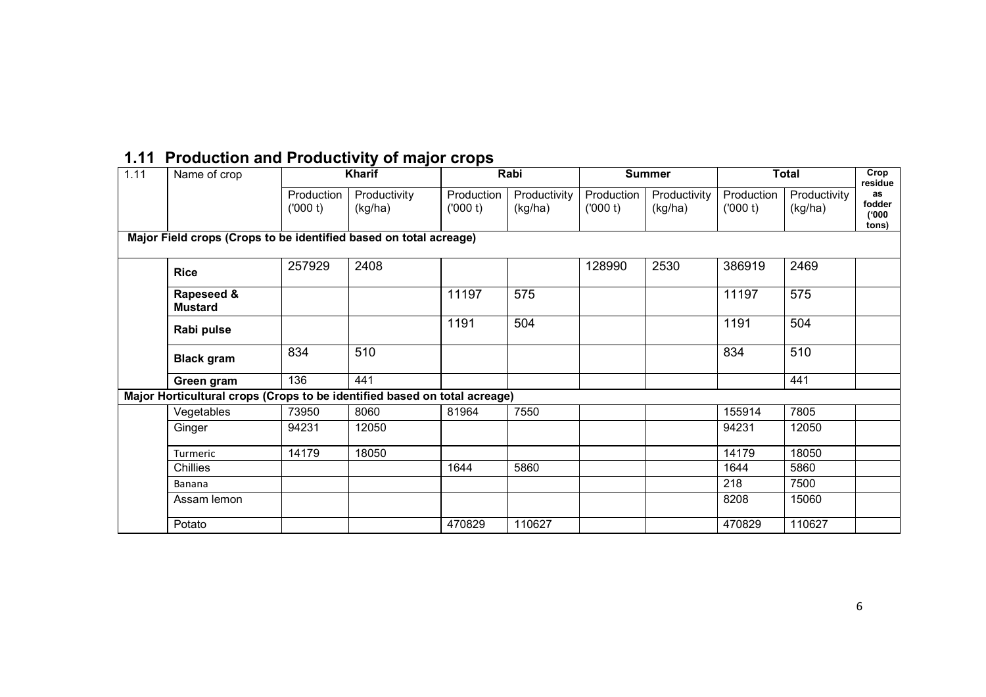| 1.11 | Name of crop                                                              |                       | Kharif                  |                       | Rabi                    |                       | <b>Summer</b>           |                       | <b>Total</b>            | Crop<br>residue                |
|------|---------------------------------------------------------------------------|-----------------------|-------------------------|-----------------------|-------------------------|-----------------------|-------------------------|-----------------------|-------------------------|--------------------------------|
|      |                                                                           | Production<br>(000 t) | Productivity<br>(kg/ha) | Production<br>(000 t) | Productivity<br>(kg/ha) | Production<br>(000 t) | Productivity<br>(kg/ha) | Production<br>(000 t) | Productivity<br>(kg/ha) | as<br>fodder<br>(000)<br>tons) |
|      | Major Field crops (Crops to be identified based on total acreage)         |                       |                         |                       |                         |                       |                         |                       |                         |                                |
|      | <b>Rice</b>                                                               | 257929                | 2408                    |                       |                         | 128990                | 2530                    | 386919                | 2469                    |                                |
|      | Rapeseed &<br><b>Mustard</b>                                              |                       |                         | 11197                 | 575                     |                       |                         | 11197                 | 575                     |                                |
|      | Rabi pulse                                                                |                       |                         | 1191                  | 504                     |                       |                         | 1191                  | 504                     |                                |
|      | <b>Black gram</b>                                                         | 834                   | 510                     |                       |                         |                       |                         | 834                   | 510                     |                                |
|      | Green gram                                                                | 136                   | 441                     |                       |                         |                       |                         |                       | 441                     |                                |
|      | Major Horticultural crops (Crops to be identified based on total acreage) |                       |                         |                       |                         |                       |                         |                       |                         |                                |
|      | Vegetables                                                                | 73950                 | 8060                    | 81964                 | 7550                    |                       |                         | 155914                | 7805                    |                                |
|      | Ginger                                                                    | 94231                 | 12050                   |                       |                         |                       |                         | 94231                 | 12050                   |                                |
|      | Turmeric                                                                  | 14179                 | 18050                   |                       |                         |                       |                         | 14179                 | 18050                   |                                |
|      | <b>Chillies</b>                                                           |                       |                         | 1644                  | 5860                    |                       |                         | 1644                  | 5860                    |                                |
|      | <b>Banana</b>                                                             |                       |                         |                       |                         |                       |                         | 218                   | 7500                    |                                |
|      | Assam lemon                                                               |                       |                         |                       |                         |                       |                         | 8208                  | 15060                   |                                |
|      | Potato                                                                    |                       |                         | 470829                | 110627                  |                       |                         | 470829                | 110627                  |                                |

### 1.11 Production and Productivity of major crops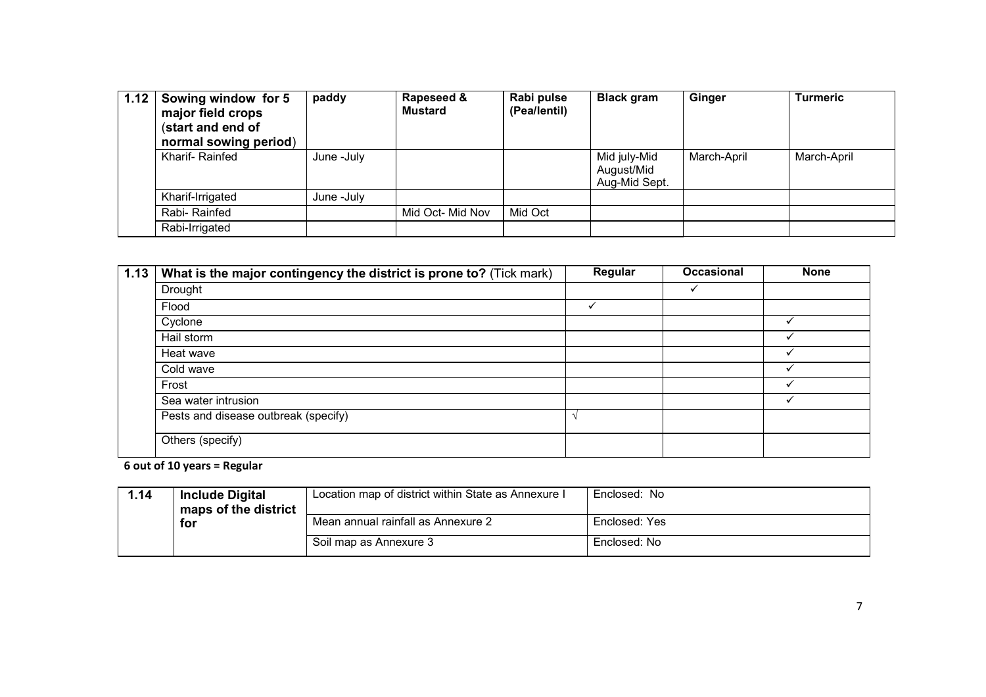| 1.12 | Sowing window for 5<br>major field crops<br>(start and end of<br>normal sowing period) | paddy      | Rapeseed &<br><b>Mustard</b> | Rabi pulse<br>(Pea/lentil) | <b>Black gram</b>                           | Ginger      | <b>Turmeric</b> |
|------|----------------------------------------------------------------------------------------|------------|------------------------------|----------------------------|---------------------------------------------|-------------|-----------------|
|      | Kharif-Rainfed                                                                         | June -July |                              |                            | Mid july-Mid<br>August/Mid<br>Aug-Mid Sept. | March-April | March-April     |
|      | Kharif-Irrigated                                                                       | June -July |                              |                            |                                             |             |                 |
|      | Rabi-Rainfed                                                                           |            | Mid Oct- Mid Nov             | Mid Oct                    |                                             |             |                 |
|      | Rabi-Irrigated                                                                         |            |                              |                            |                                             |             |                 |

| 1.13 | What is the major contingency the district is prone to? (Tick mark) | Regular | <b>Occasional</b> | <b>None</b>  |
|------|---------------------------------------------------------------------|---------|-------------------|--------------|
|      | Drought                                                             |         |                   |              |
|      | Flood                                                               |         |                   |              |
|      | Cyclone                                                             |         |                   | ✓            |
|      | Hail storm                                                          |         |                   |              |
|      | Heat wave                                                           |         |                   |              |
|      | Cold wave                                                           |         |                   |              |
|      | Frost                                                               |         |                   | ✓            |
|      | Sea water intrusion                                                 |         |                   | $\checkmark$ |
|      | Pests and disease outbreak (specify)                                |         |                   |              |
|      | Others (specify)                                                    |         |                   |              |

6 out of 10 years = Regular

| 1.14 | <b>Include Digital</b> | Location map of district within State as Annexure I | Enclosed: No  |  |
|------|------------------------|-----------------------------------------------------|---------------|--|
|      | maps of the district   |                                                     |               |  |
|      | for                    | Mean annual rainfall as Annexure 2                  | Enclosed: Yes |  |
|      |                        | Soil map as Annexure 3                              | Enclosed: No  |  |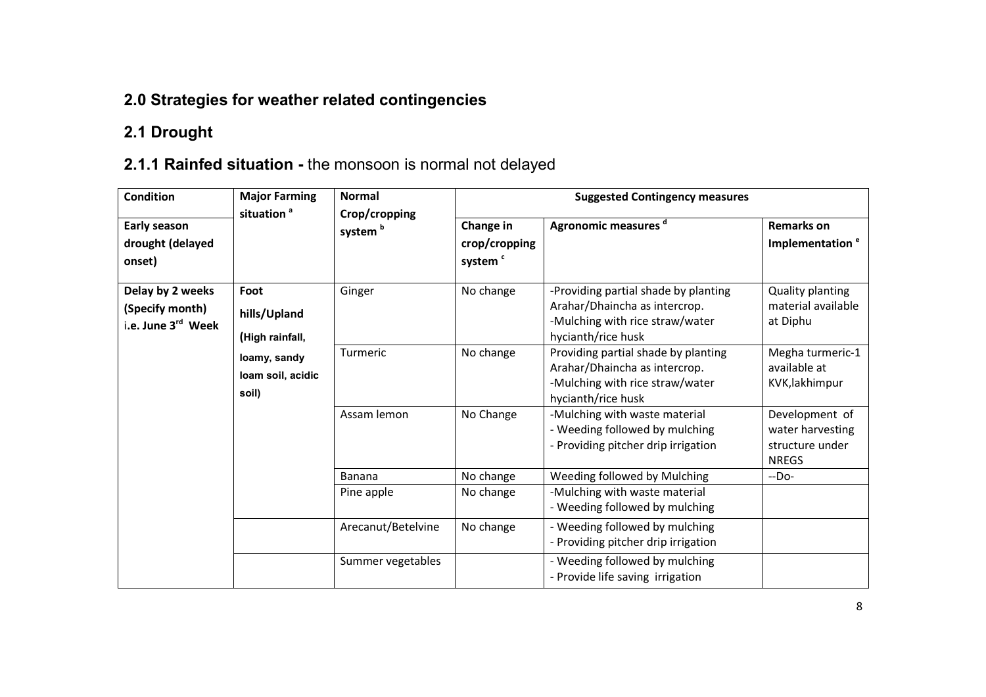## 2.0 Strategies for weather related contingencies

## 2.1 Drought

## 2.1.1 Rainfed situation - the monsoon is normal not delayed

| <b>Condition</b>                                                                                                                                               | <b>Major Farming</b><br>situation <sup>a</sup> | <b>Normal</b><br>Crop/cropping | <b>Suggested Contingency measures</b>                                                                                          |                                                                                                                               |                                                                       |  |
|----------------------------------------------------------------------------------------------------------------------------------------------------------------|------------------------------------------------|--------------------------------|--------------------------------------------------------------------------------------------------------------------------------|-------------------------------------------------------------------------------------------------------------------------------|-----------------------------------------------------------------------|--|
| Early season<br>drought (delayed<br>onset)                                                                                                                     |                                                | system <sup>b</sup>            | Change in<br>crop/cropping<br>system <sup>c</sup>                                                                              | Agronomic measures d                                                                                                          | <b>Remarks on</b><br>Implementation <sup>e</sup>                      |  |
| Delay by 2 weeks<br>Foot<br>(Specify month)<br>hills/Upland<br>i.e. June 3 <sup>rd</sup> Week<br>(High rainfall,<br>loamy, sandy<br>loam soil, acidic<br>soil) | Ginger                                         | No change                      | -Providing partial shade by planting<br>Arahar/Dhaincha as intercrop.<br>-Mulching with rice straw/water<br>hycianth/rice husk | <b>Quality planting</b><br>material available<br>at Diphu                                                                     |                                                                       |  |
|                                                                                                                                                                |                                                | Turmeric                       | No change                                                                                                                      | Providing partial shade by planting<br>Arahar/Dhaincha as intercrop.<br>-Mulching with rice straw/water<br>hycianth/rice husk | Megha turmeric-1<br>available at<br>KVK, lakhimpur                    |  |
|                                                                                                                                                                |                                                | Assam lemon                    | No Change                                                                                                                      | -Mulching with waste material<br>- Weeding followed by mulching<br>- Providing pitcher drip irrigation                        | Development of<br>water harvesting<br>structure under<br><b>NREGS</b> |  |
|                                                                                                                                                                |                                                | <b>Banana</b>                  | No change                                                                                                                      | Weeding followed by Mulching                                                                                                  | $-DO-$                                                                |  |
|                                                                                                                                                                |                                                | Pine apple                     | No change                                                                                                                      | -Mulching with waste material<br>- Weeding followed by mulching                                                               |                                                                       |  |
|                                                                                                                                                                |                                                | Arecanut/Betelvine             | No change                                                                                                                      | - Weeding followed by mulching<br>- Providing pitcher drip irrigation                                                         |                                                                       |  |
|                                                                                                                                                                |                                                | Summer vegetables              |                                                                                                                                | - Weeding followed by mulching<br>- Provide life saving irrigation                                                            |                                                                       |  |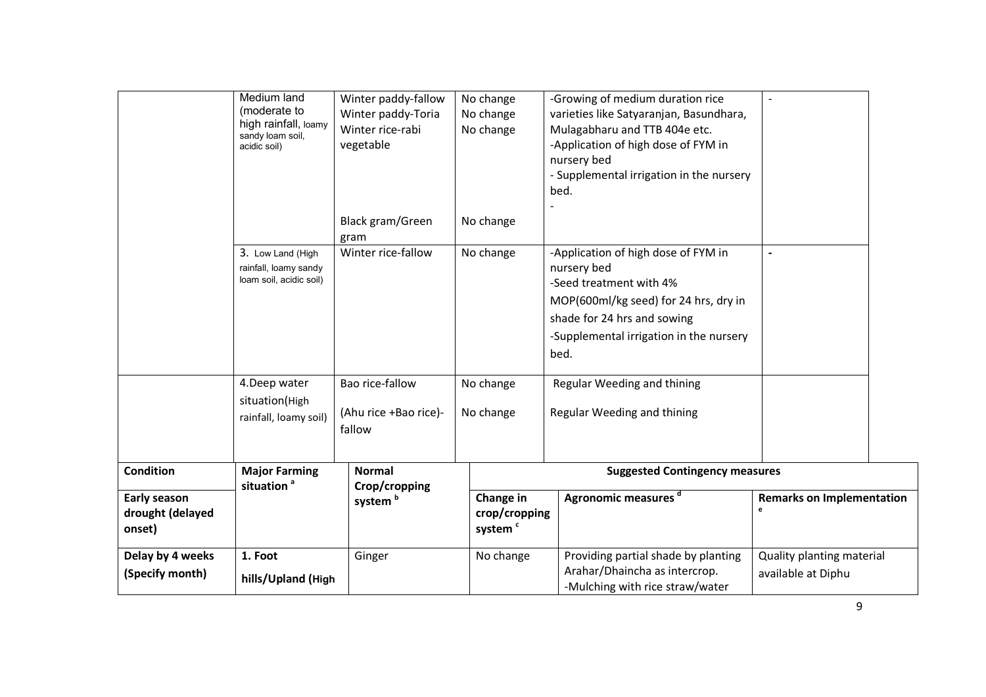|                                            | Medium land<br>(moderate to<br>high rainfall, loamy<br>sandy loam soil,<br>acidic soil) | Winter paddy-fallow<br>Winter paddy-Toria<br>Winter rice-rabi<br>vegetable | No change<br>No change<br>No change               | -Growing of medium duration rice<br>varieties like Satyaranjan, Basundhara,<br>Mulagabharu and TTB 404e etc.<br>-Application of high dose of FYM in<br>nursery bed<br>- Supplemental irrigation in the nursery<br>bed.                  | $\sim$                                          |
|--------------------------------------------|-----------------------------------------------------------------------------------------|----------------------------------------------------------------------------|---------------------------------------------------|-----------------------------------------------------------------------------------------------------------------------------------------------------------------------------------------------------------------------------------------|-------------------------------------------------|
|                                            |                                                                                         | Black gram/Green<br>gram                                                   | No change                                         |                                                                                                                                                                                                                                         |                                                 |
|                                            | 3. Low Land (High<br>rainfall, loamy sandy<br>loam soil, acidic soil)<br>4.Deep water   | Winter rice-fallow<br>Bao rice-fallow                                      | No change<br>No change                            | -Application of high dose of FYM in<br>nursery bed<br>-Seed treatment with 4%<br>MOP(600ml/kg seed) for 24 hrs, dry in<br>shade for 24 hrs and sowing<br>-Supplemental irrigation in the nursery<br>bed.<br>Regular Weeding and thining | $\blacksquare$                                  |
|                                            | situation(High<br>rainfall, loamy soil)                                                 | (Ahu rice +Bao rice)-<br>fallow                                            | No change                                         | Regular Weeding and thining                                                                                                                                                                                                             |                                                 |
| <b>Condition</b>                           | <b>Major Farming</b><br>situation <sup>a</sup>                                          | <b>Normal</b><br>Crop/cropping                                             |                                                   | <b>Suggested Contingency measures</b>                                                                                                                                                                                                   |                                                 |
| Early season<br>drought (delayed<br>onset) |                                                                                         | system <sup>b</sup>                                                        | Change in<br>crop/cropping<br>system <sup>c</sup> | Agronomic measures d                                                                                                                                                                                                                    | <b>Remarks on Implementation</b><br>e           |
| Delay by 4 weeks<br>(Specify month)        | 1. Foot<br>hills/Upland (High                                                           | Ginger                                                                     | No change                                         | Providing partial shade by planting<br>Arahar/Dhaincha as intercrop.<br>-Mulching with rice straw/water                                                                                                                                 | Quality planting material<br>available at Diphu |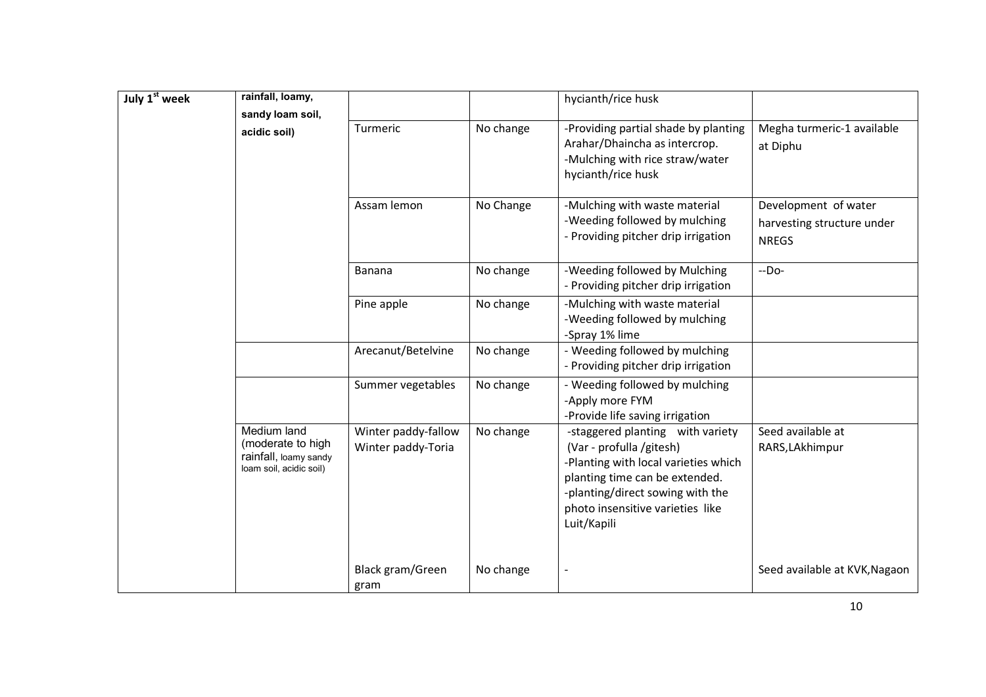| July 1st week | rainfall, loamy,                                                                     |                                           |           | hycianth/rice husk                                                                                                                                                                                                            |                                                                    |
|---------------|--------------------------------------------------------------------------------------|-------------------------------------------|-----------|-------------------------------------------------------------------------------------------------------------------------------------------------------------------------------------------------------------------------------|--------------------------------------------------------------------|
|               | sandy loam soil,<br>acidic soil)                                                     | Turmeric                                  | No change | -Providing partial shade by planting<br>Arahar/Dhaincha as intercrop.<br>-Mulching with rice straw/water<br>hycianth/rice husk                                                                                                | Megha turmeric-1 available<br>at Diphu                             |
|               |                                                                                      | Assam lemon                               | No Change | -Mulching with waste material<br>-Weeding followed by mulching<br>- Providing pitcher drip irrigation                                                                                                                         | Development of water<br>harvesting structure under<br><b>NREGS</b> |
|               |                                                                                      | Banana                                    | No change | -Weeding followed by Mulching<br>- Providing pitcher drip irrigation                                                                                                                                                          | $-DO-$                                                             |
|               |                                                                                      | Pine apple                                | No change | -Mulching with waste material<br>-Weeding followed by mulching<br>-Spray 1% lime                                                                                                                                              |                                                                    |
|               |                                                                                      | Arecanut/Betelvine                        | No change | - Weeding followed by mulching<br>- Providing pitcher drip irrigation                                                                                                                                                         |                                                                    |
|               |                                                                                      | Summer vegetables                         | No change | - Weeding followed by mulching<br>-Apply more FYM<br>-Provide life saving irrigation                                                                                                                                          |                                                                    |
|               | Medium land<br>(moderate to high<br>rainfall, loamy sandy<br>loam soil, acidic soil) | Winter paddy-fallow<br>Winter paddy-Toria | No change | -staggered planting with variety<br>(Var - profulla /gitesh)<br>-Planting with local varieties which<br>planting time can be extended.<br>-planting/direct sowing with the<br>photo insensitive varieties like<br>Luit/Kapili | Seed available at<br>RARS, LAkhimpur                               |
|               |                                                                                      | Black gram/Green<br>gram                  | No change |                                                                                                                                                                                                                               | Seed available at KVK, Nagaon                                      |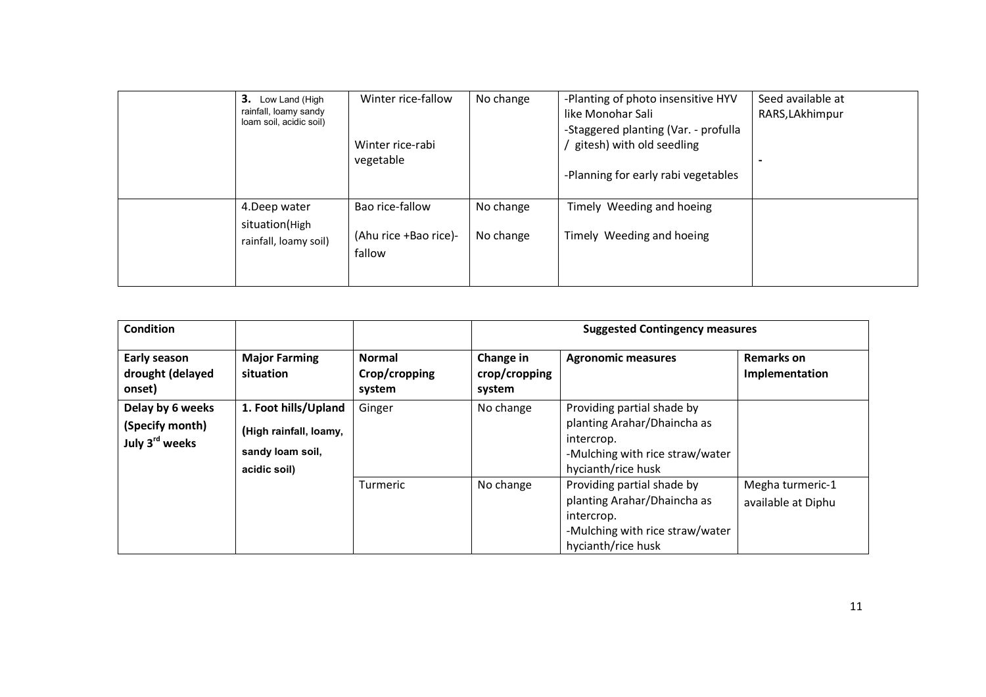| 3. Low Land (High<br>rainfall, loamy sandy<br>loam soil, acidic soil) | Winter rice-fallow<br>Winter rice-rabi<br>vegetable | No change              | -Planting of photo insensitive HYV<br>like Monohar Sali<br>-Staggered planting (Var. - profulla<br>gitesh) with old seedling<br>-Planning for early rabi vegetables | Seed available at<br>RARS, LAkhimpur |
|-----------------------------------------------------------------------|-----------------------------------------------------|------------------------|---------------------------------------------------------------------------------------------------------------------------------------------------------------------|--------------------------------------|
| 4. Deep water<br>situation(High<br>rainfall, loamy soil)              | Bao rice-fallow<br>(Ahu rice +Bao rice)-<br>fallow  | No change<br>No change | Timely Weeding and hoeing<br>Timely Weeding and hoeing                                                                                                              |                                      |

| <b>Condition</b>                                                  |                                                                                    |                                          | <b>Suggested Contingency measures</b> |                                                                                                                                  |                                        |  |
|-------------------------------------------------------------------|------------------------------------------------------------------------------------|------------------------------------------|---------------------------------------|----------------------------------------------------------------------------------------------------------------------------------|----------------------------------------|--|
| Early season<br>drought (delayed<br>onset)                        | <b>Major Farming</b><br>situation                                                  | <b>Normal</b><br>Crop/cropping<br>system | Change in<br>crop/cropping<br>system  | <b>Agronomic measures</b>                                                                                                        | <b>Remarks on</b><br>Implementation    |  |
| Delay by 6 weeks<br>(Specify month)<br>July 3 <sup>rd</sup> weeks | 1. Foot hills/Upland<br>(High rainfall, loamy,<br>sandy loam soil,<br>acidic soil) | Ginger                                   | No change                             | Providing partial shade by<br>planting Arahar/Dhaincha as<br>intercrop.<br>-Mulching with rice straw/water<br>hycianth/rice husk |                                        |  |
|                                                                   |                                                                                    | Turmeric                                 | No change                             | Providing partial shade by<br>planting Arahar/Dhaincha as<br>intercrop.<br>-Mulching with rice straw/water<br>hycianth/rice husk | Megha turmeric-1<br>available at Diphu |  |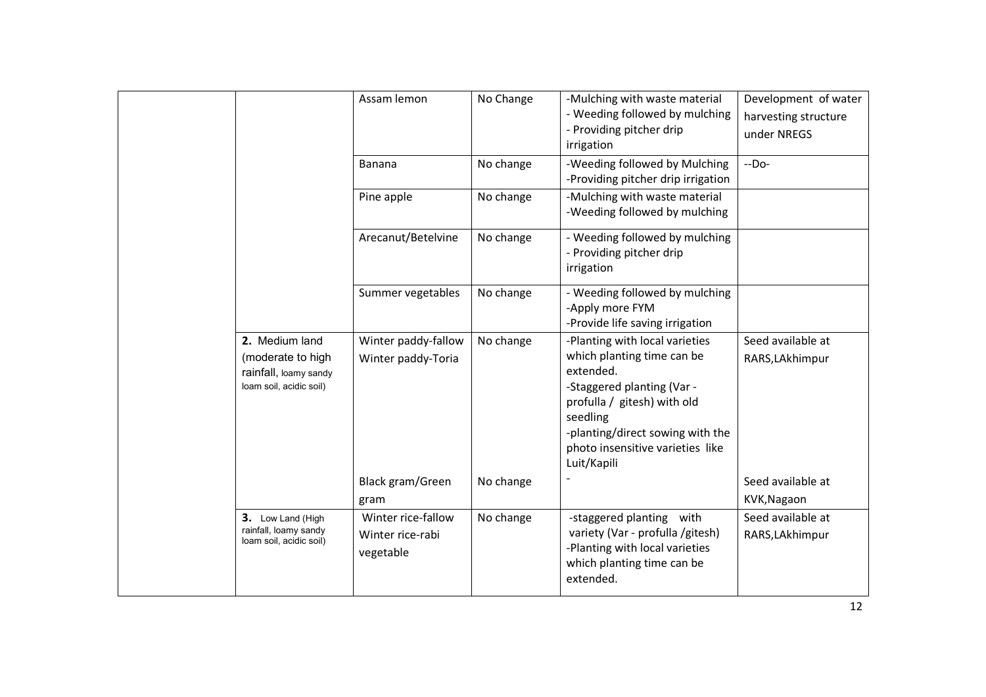|                                                                                         | Assam lemon                                                   | No Change              | -Mulching with waste material<br>- Weeding followed by mulching<br>- Providing pitcher drip<br>irrigation                                                                                                                                 | Development of water<br>harvesting structure<br>under NREGS |
|-----------------------------------------------------------------------------------------|---------------------------------------------------------------|------------------------|-------------------------------------------------------------------------------------------------------------------------------------------------------------------------------------------------------------------------------------------|-------------------------------------------------------------|
|                                                                                         | <b>Banana</b>                                                 | No change              | -Weeding followed by Mulching<br>-Providing pitcher drip irrigation                                                                                                                                                                       | $-DO-$                                                      |
|                                                                                         | Pine apple                                                    | No change              | -Mulching with waste material<br>-Weeding followed by mulching                                                                                                                                                                            |                                                             |
|                                                                                         | Arecanut/Betelvine                                            | No change              | - Weeding followed by mulching<br>- Providing pitcher drip<br>irrigation                                                                                                                                                                  |                                                             |
|                                                                                         | Summer vegetables                                             | No change              | - Weeding followed by mulching<br>-Apply more FYM<br>-Provide life saving irrigation                                                                                                                                                      |                                                             |
| 2. Medium land<br>(moderate to high<br>rainfall, loamy sandy<br>loam soil, acidic soil) | Winter paddy-fallow<br>Winter paddy-Toria<br>Black gram/Green | No change<br>No change | -Planting with local varieties<br>which planting time can be<br>extended.<br>-Staggered planting (Var -<br>profulla / gitesh) with old<br>seedling<br>-planting/direct sowing with the<br>photo insensitive varieties like<br>Luit/Kapili | Seed available at<br>RARS, LAkhimpur<br>Seed available at   |
|                                                                                         | gram                                                          |                        |                                                                                                                                                                                                                                           | KVK, Nagaon                                                 |
| 3. Low Land (High<br>rainfall, loamy sandy<br>loam soil, acidic soil)                   | Winter rice-fallow<br>Winter rice-rabi<br>vegetable           | No change              | -staggered planting with<br>variety (Var - profulla /gitesh)<br>-Planting with local varieties<br>which planting time can be<br>extended.                                                                                                 | Seed available at<br>RARS, LAkhimpur                        |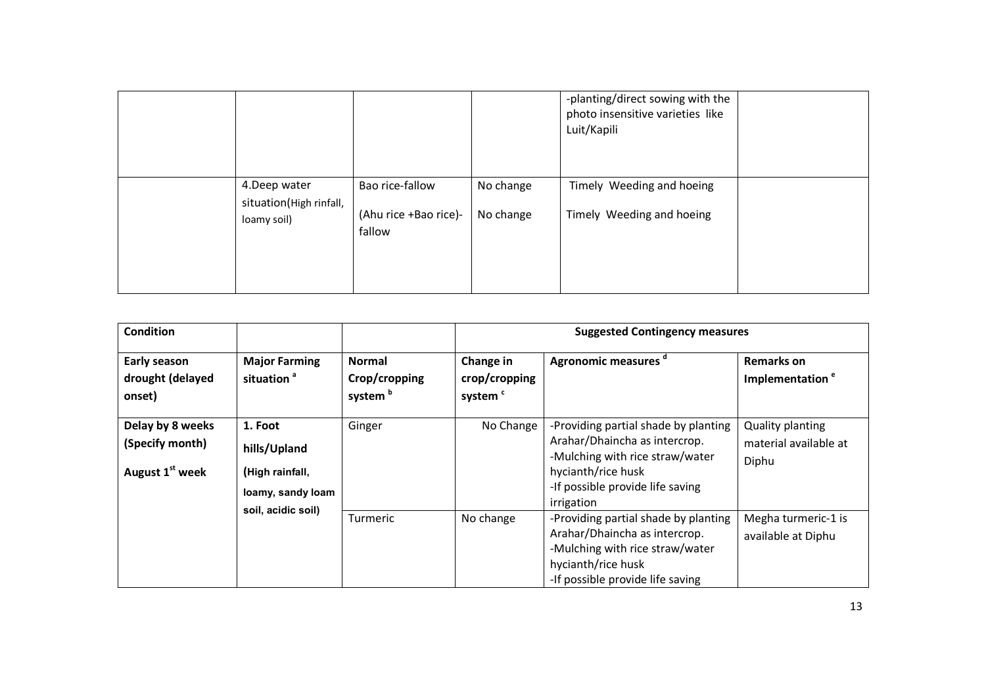|                                         |                                 |           | -planting/direct sowing with the<br>photo insensitive varieties like<br>Luit/Kapili |  |
|-----------------------------------------|---------------------------------|-----------|-------------------------------------------------------------------------------------|--|
| 4.Deep water<br>situation(High rinfall, | Bao rice-fallow                 | No change | Timely Weeding and hoeing                                                           |  |
| loamy soil)                             | (Ahu rice +Bao rice)-<br>fallow | No change | Timely Weeding and hoeing                                                           |  |
|                                         |                                 |           |                                                                                     |  |

|                                                                    |                                                                 |                                                    |                                      | -planting/direct sowing with the<br>photo insensitive varieties like<br>Luit/Kapili                                                                                              |                                                           |
|--------------------------------------------------------------------|-----------------------------------------------------------------|----------------------------------------------------|--------------------------------------|----------------------------------------------------------------------------------------------------------------------------------------------------------------------------------|-----------------------------------------------------------|
|                                                                    | 4.Deep water<br>situation(High rinfall,<br>loamy soil)          | Bao rice-fallow<br>(Ahu rice +Bao rice)-<br>fallow | No change<br>No change               | Timely Weeding and hoeing<br>Timely Weeding and hoeing                                                                                                                           |                                                           |
| <b>Condition</b>                                                   |                                                                 |                                                    |                                      | <b>Suggested Contingency measures</b>                                                                                                                                            |                                                           |
|                                                                    |                                                                 |                                                    |                                      |                                                                                                                                                                                  |                                                           |
| Early season                                                       | <b>Major Farming</b>                                            | <b>Normal</b>                                      | Change in                            | Agronomic measures <sup>d</sup>                                                                                                                                                  | <b>Remarks on</b>                                         |
| drought (delayed<br>onset)                                         | situation <sup>a</sup>                                          | Crop/cropping<br>system <sup>b</sup>               | crop/cropping<br>system <sup>c</sup> |                                                                                                                                                                                  | Implementation <sup>e</sup>                               |
| Delay by 8 weeks<br>(Specify month)<br>August 1 <sup>st</sup> week | 1. Foot<br>hills/Upland<br>(High rainfall,<br>loamy, sandy loam | Ginger                                             | No Change                            | -Providing partial shade by planting<br>Arahar/Dhaincha as intercrop.<br>-Mulching with rice straw/water<br>hycianth/rice husk<br>-If possible provide life saving<br>irrigation | <b>Quality planting</b><br>material available at<br>Diphu |
|                                                                    | soil, acidic soil)                                              | Turmeric                                           | No change                            | -Providing partial shade by planting<br>Arahar/Dhaincha as intercrop.<br>-Mulching with rice straw/water<br>hycianth/rice husk<br>-If possible provide life saving               | Megha turmeric-1 is<br>available at Diphu                 |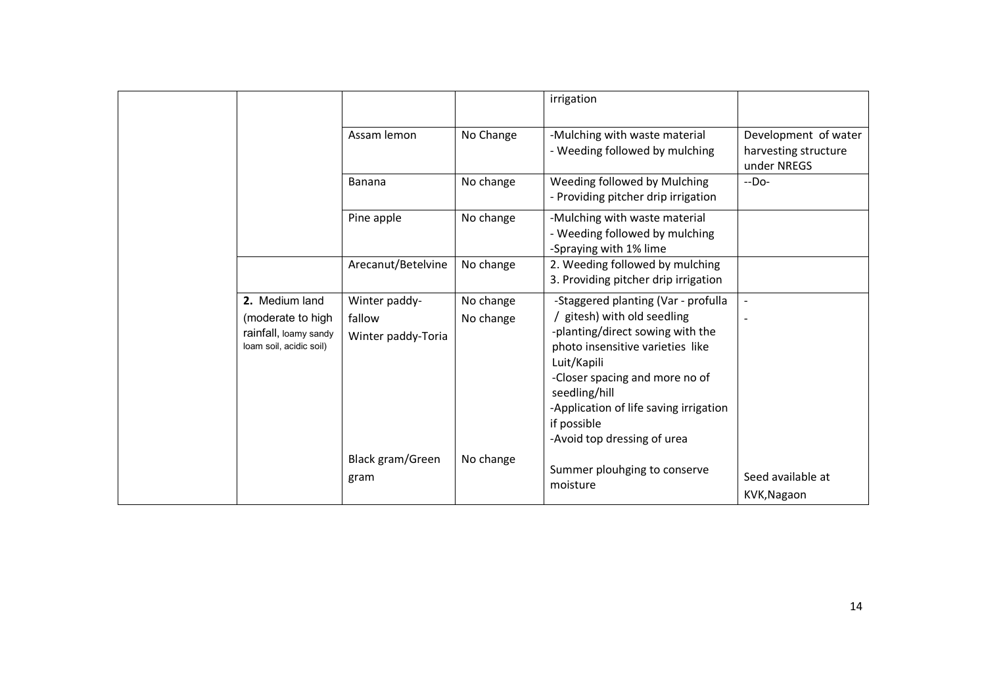|                                                                                         |                                               |                        | irrigation                                                                                                                                                                                                                                                                                         |                                                             |
|-----------------------------------------------------------------------------------------|-----------------------------------------------|------------------------|----------------------------------------------------------------------------------------------------------------------------------------------------------------------------------------------------------------------------------------------------------------------------------------------------|-------------------------------------------------------------|
|                                                                                         | Assam lemon                                   | No Change              | -Mulching with waste material<br>- Weeding followed by mulching                                                                                                                                                                                                                                    | Development of water<br>harvesting structure<br>under NREGS |
|                                                                                         | <b>Banana</b>                                 | No change              | Weeding followed by Mulching<br>- Providing pitcher drip irrigation                                                                                                                                                                                                                                | $-DO-$                                                      |
|                                                                                         | Pine apple                                    | No change              | -Mulching with waste material<br>- Weeding followed by mulching<br>-Spraying with 1% lime                                                                                                                                                                                                          |                                                             |
|                                                                                         | Arecanut/Betelvine                            | No change              | 2. Weeding followed by mulching<br>3. Providing pitcher drip irrigation                                                                                                                                                                                                                            |                                                             |
| 2. Medium land<br>(moderate to high<br>rainfall, loamy sandy<br>loam soil, acidic soil) | Winter paddy-<br>fallow<br>Winter paddy-Toria | No change<br>No change | -Staggered planting (Var - profulla<br>gitesh) with old seedling<br>-planting/direct sowing with the<br>photo insensitive varieties like<br>Luit/Kapili<br>-Closer spacing and more no of<br>seedling/hill<br>-Application of life saving irrigation<br>if possible<br>-Avoid top dressing of urea |                                                             |
|                                                                                         | Black gram/Green<br>gram                      | No change              | Summer plouhging to conserve<br>moisture                                                                                                                                                                                                                                                           | Seed available at<br>KVK, Nagaon                            |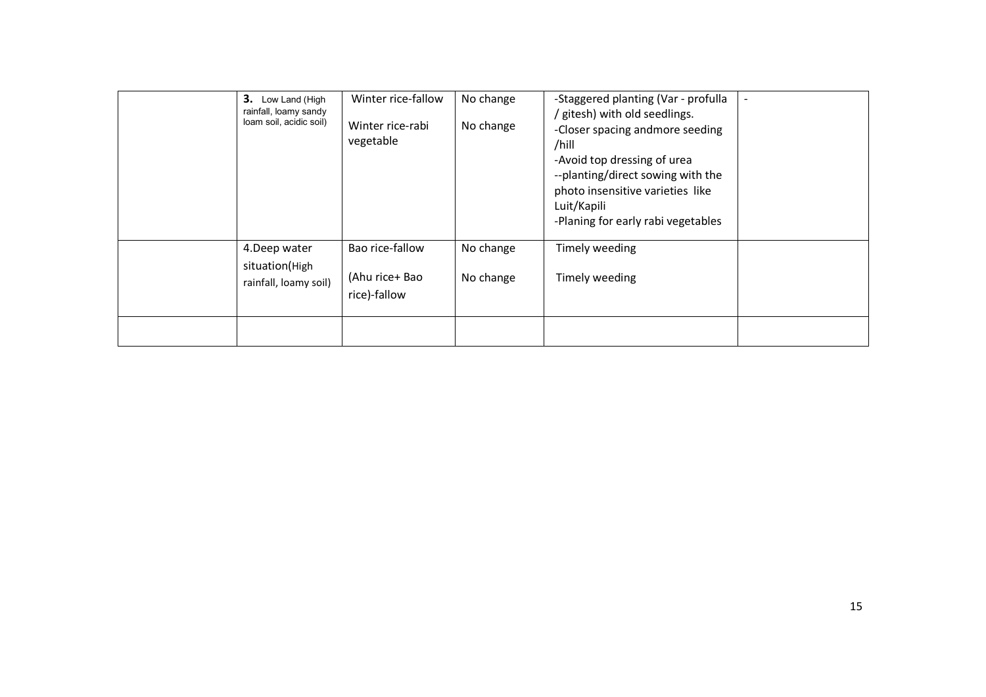| 3.<br>Low Land (High<br>rainfall, loamy sandy<br>loam soil, acidic soil) | Winter rice-fallow<br>Winter rice-rabi<br>vegetable | No change<br>No change | -Staggered planting (Var - profulla<br>' gitesh) with old seedlings.<br>-Closer spacing andmore seeding<br>/hill<br>-Avoid top dressing of urea<br>--planting/direct sowing with the<br>photo insensitive varieties like<br>Luit/Kapili<br>-Planing for early rabi vegetables |  |
|--------------------------------------------------------------------------|-----------------------------------------------------|------------------------|-------------------------------------------------------------------------------------------------------------------------------------------------------------------------------------------------------------------------------------------------------------------------------|--|
| 4.Deep water<br>situation(High<br>rainfall, loamy soil)                  | Bao rice-fallow<br>(Ahu rice+ Bao<br>rice)-fallow   | No change<br>No change | Timely weeding<br>Timely weeding                                                                                                                                                                                                                                              |  |
|                                                                          |                                                     |                        |                                                                                                                                                                                                                                                                               |  |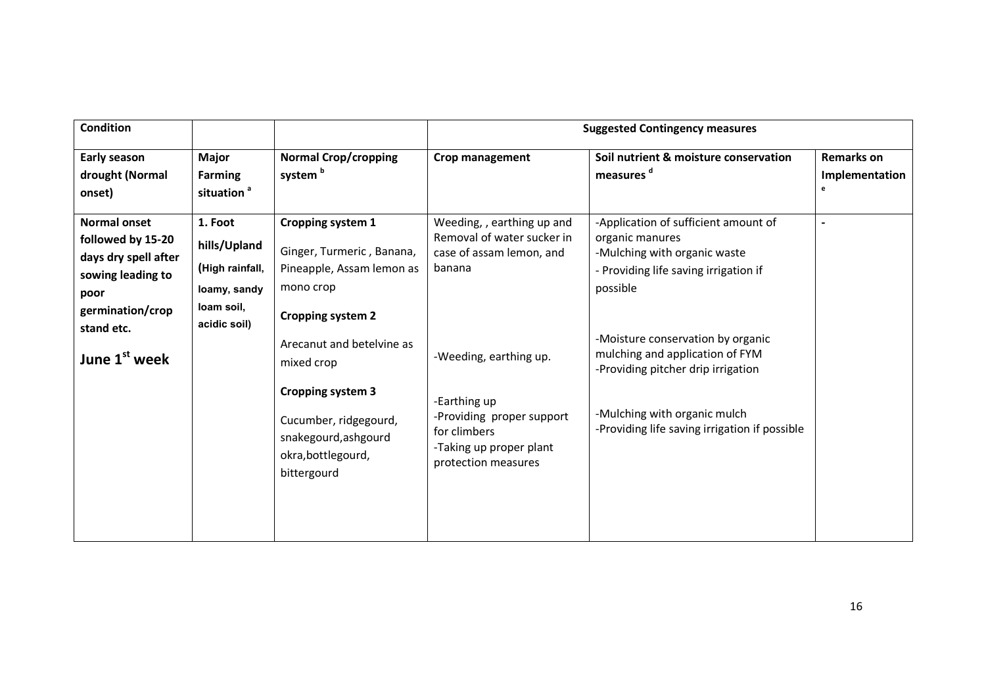| <b>Condition</b>                                                                                                  |                                                                                          |                                                                                                                                                           |                                                                                                                                       | <b>Suggested Contingency measures</b>                                                                                                                                                       |                                          |
|-------------------------------------------------------------------------------------------------------------------|------------------------------------------------------------------------------------------|-----------------------------------------------------------------------------------------------------------------------------------------------------------|---------------------------------------------------------------------------------------------------------------------------------------|---------------------------------------------------------------------------------------------------------------------------------------------------------------------------------------------|------------------------------------------|
| Early season<br>drought (Normal<br>onset)                                                                         | <b>Major</b><br><b>Farming</b><br>situation <sup>a</sup>                                 | <b>Normal Crop/cropping</b><br>system <sup>b</sup>                                                                                                        | Crop management                                                                                                                       | Soil nutrient & moisture conservation<br>measures <sup>d</sup>                                                                                                                              | <b>Remarks on</b><br>Implementation<br>e |
| <b>Normal onset</b><br>followed by 15-20<br>days dry spell after<br>sowing leading to<br>poor<br>germination/crop | 1. Foot<br>hills/Upland<br>(High rainfall,<br>loamy, sandy<br>loam soil,<br>acidic soil) | Cropping system 1<br>Ginger, Turmeric, Banana,<br>Pineapple, Assam lemon as<br>mono crop<br><b>Cropping system 2</b>                                      | Weeding, , earthing up and<br>Removal of water sucker in<br>case of assam lemon, and<br>banana                                        | -Application of sufficient amount of<br>organic manures<br>-Mulching with organic waste<br>- Providing life saving irrigation if<br>possible                                                |                                          |
| stand etc.<br>June 1 <sup>st</sup> week                                                                           |                                                                                          | Arecanut and betelvine as<br>mixed crop<br><b>Cropping system 3</b><br>Cucumber, ridgegourd,<br>snakegourd, ashgourd<br>okra, bottlegourd,<br>bittergourd | -Weeding, earthing up.<br>-Earthing up<br>-Providing proper support<br>for climbers<br>-Taking up proper plant<br>protection measures | -Moisture conservation by organic<br>mulching and application of FYM<br>-Providing pitcher drip irrigation<br>-Mulching with organic mulch<br>-Providing life saving irrigation if possible |                                          |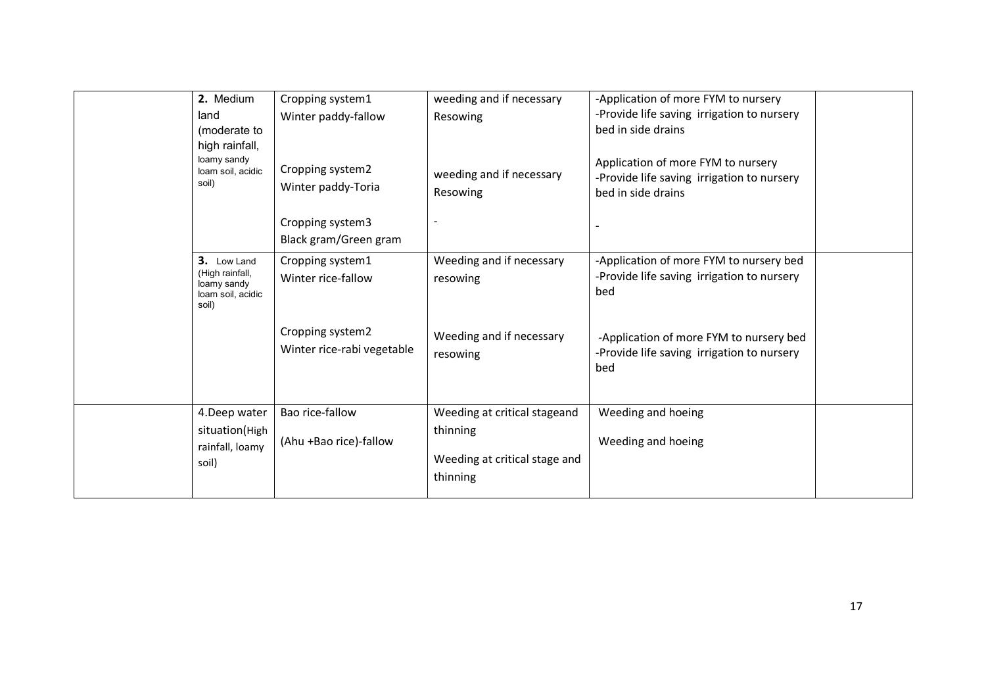| 2. Medium<br>land<br>(moderate to<br>high rainfall,<br>loamy sandy<br>loam soil, acidic<br>soil) | Cropping system1<br>Winter paddy-fallow<br>Cropping system2<br>Winter paddy-Toria | weeding and if necessary<br>Resowing<br>weeding and if necessary<br>Resowing          | -Application of more FYM to nursery<br>-Provide life saving irrigation to nursery<br>bed in side drains<br>Application of more FYM to nursery<br>-Provide life saving irrigation to nursery<br>bed in side drains |  |
|--------------------------------------------------------------------------------------------------|-----------------------------------------------------------------------------------|---------------------------------------------------------------------------------------|-------------------------------------------------------------------------------------------------------------------------------------------------------------------------------------------------------------------|--|
|                                                                                                  | Cropping system3<br>Black gram/Green gram                                         |                                                                                       |                                                                                                                                                                                                                   |  |
| 3. Low Land<br>(High rainfall,<br>loamy sandy<br>loam soil, acidic<br>soil)                      | Cropping system1<br>Winter rice-fallow                                            | Weeding and if necessary<br>resowing                                                  | -Application of more FYM to nursery bed<br>-Provide life saving irrigation to nursery<br>bed                                                                                                                      |  |
|                                                                                                  | Cropping system2<br>Winter rice-rabi vegetable                                    | Weeding and if necessary<br>resowing                                                  | -Application of more FYM to nursery bed<br>-Provide life saving irrigation to nursery<br>bed                                                                                                                      |  |
| 4.Deep water<br>situation(High<br>rainfall, loamy<br>soil)                                       | Bao rice-fallow<br>(Ahu +Bao rice)-fallow                                         | Weeding at critical stageand<br>thinning<br>Weeding at critical stage and<br>thinning | Weeding and hoeing<br>Weeding and hoeing                                                                                                                                                                          |  |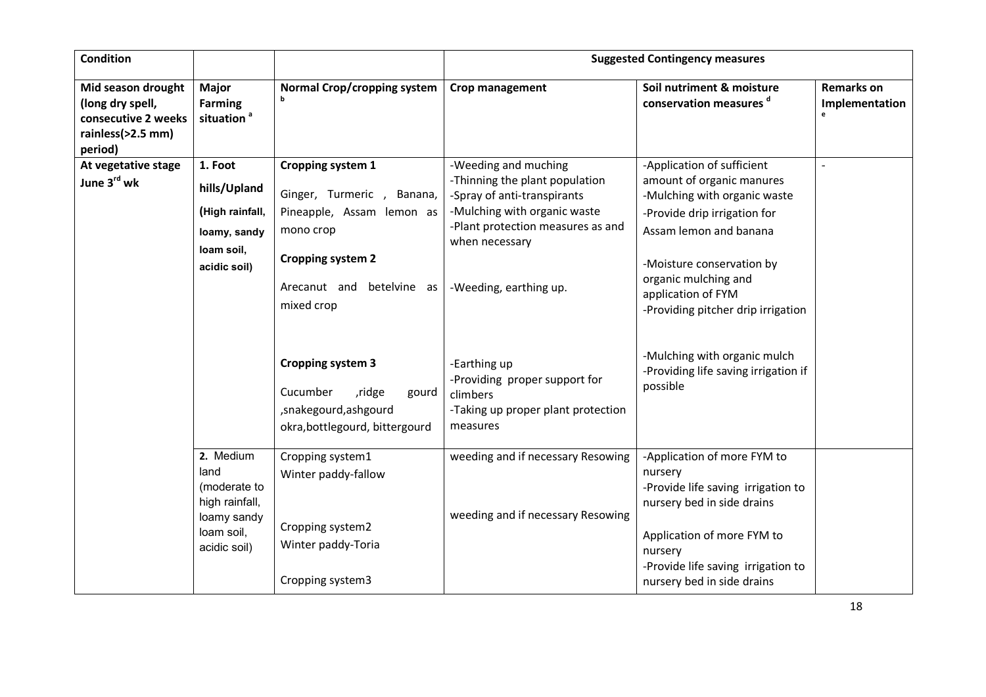| <b>Condition</b>                                                                              |                                                                                                    |                                                                                                                                                                 | <b>Suggested Contingency measures</b>                                                                                                                                                                  |                                                                                                                                                                                                                                                                    |                                     |  |
|-----------------------------------------------------------------------------------------------|----------------------------------------------------------------------------------------------------|-----------------------------------------------------------------------------------------------------------------------------------------------------------------|--------------------------------------------------------------------------------------------------------------------------------------------------------------------------------------------------------|--------------------------------------------------------------------------------------------------------------------------------------------------------------------------------------------------------------------------------------------------------------------|-------------------------------------|--|
| Mid season drought<br>(long dry spell,<br>consecutive 2 weeks<br>rainless(>2.5 mm)<br>period) | <b>Major</b><br><b>Farming</b><br>situation <sup>a</sup>                                           | Normal Crop/cropping system                                                                                                                                     | Crop management                                                                                                                                                                                        | Soil nutriment & moisture<br>conservation measures d                                                                                                                                                                                                               | <b>Remarks on</b><br>Implementation |  |
| At vegetative stage<br>June 3rd wk                                                            | 1. Foot<br>hills/Upland<br>(High rainfall,<br>loamy, sandy<br>loam soil,<br>acidic soil)           | Cropping system 1<br>Ginger, Turmeric, Banana,<br>Pineapple, Assam lemon as<br>mono crop<br><b>Cropping system 2</b><br>Arecanut and betelvine as<br>mixed crop | -Weeding and muching<br>-Thinning the plant population<br>-Spray of anti-transpirants<br>-Mulching with organic waste<br>-Plant protection measures as and<br>when necessary<br>-Weeding, earthing up. | -Application of sufficient<br>amount of organic manures<br>-Mulching with organic waste<br>-Provide drip irrigation for<br>Assam lemon and banana<br>-Moisture conservation by<br>organic mulching and<br>application of FYM<br>-Providing pitcher drip irrigation |                                     |  |
|                                                                                               |                                                                                                    | <b>Cropping system 3</b><br>Cucumber<br>ridge,<br>gourd<br>, snakegourd, ashgourd<br>okra, bottlegourd, bittergourd                                             | -Earthing up<br>-Providing proper support for<br>climbers<br>-Taking up proper plant protection<br>measures                                                                                            | -Mulching with organic mulch<br>-Providing life saving irrigation if<br>possible                                                                                                                                                                                   |                                     |  |
|                                                                                               | $2.$ Medium<br>land<br>(moderate to<br>high rainfall,<br>loamy sandy<br>loam soil,<br>acidic soil) | Cropping system1<br>Winter paddy-fallow<br>Cropping system2<br>Winter paddy-Toria<br>Cropping system3                                                           | weeding and if necessary Resowing<br>weeding and if necessary Resowing                                                                                                                                 | -Application of more FYM to<br>nursery<br>-Provide life saving irrigation to<br>nursery bed in side drains<br>Application of more FYM to<br>nursery<br>-Provide life saving irrigation to<br>nursery bed in side drains                                            |                                     |  |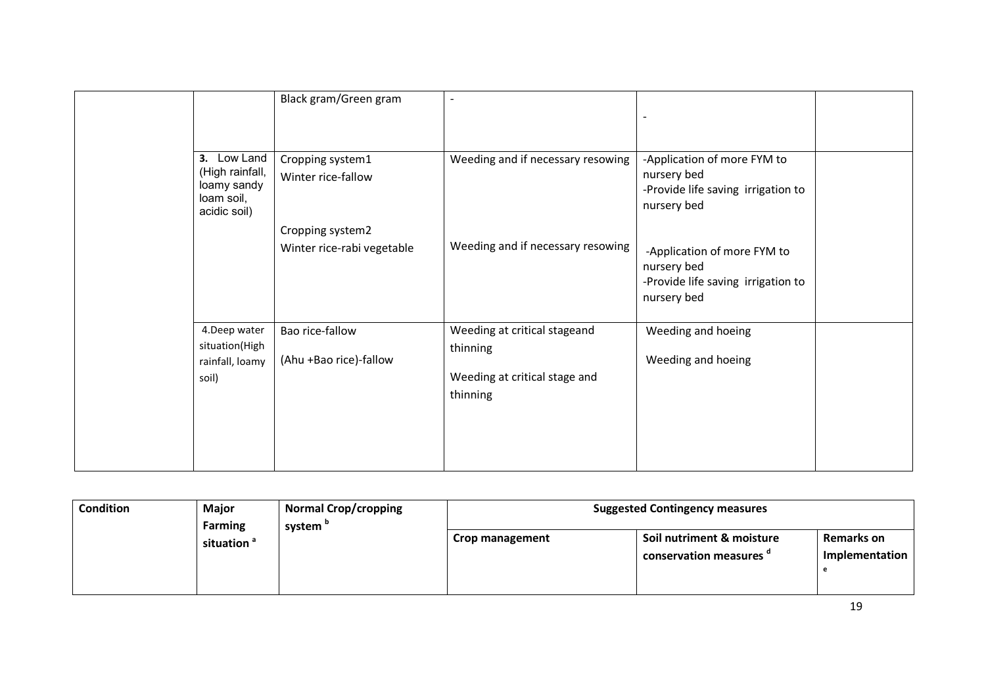|                                                                             | Black gram/Green gram                          | $\overline{\phantom{a}}$                                                              |                                                                                                 |  |
|-----------------------------------------------------------------------------|------------------------------------------------|---------------------------------------------------------------------------------------|-------------------------------------------------------------------------------------------------|--|
| 3. Low Land<br>(High rainfall,<br>loamy sandy<br>loam soil,<br>acidic soil) | Cropping system1<br>Winter rice-fallow         | Weeding and if necessary resowing                                                     | -Application of more FYM to<br>nursery bed<br>-Provide life saving irrigation to<br>nursery bed |  |
|                                                                             | Cropping system2<br>Winter rice-rabi vegetable | Weeding and if necessary resowing                                                     | -Application of more FYM to<br>nursery bed<br>-Provide life saving irrigation to<br>nursery bed |  |
| 4.Deep water<br>situation(High<br>rainfall, loamy<br>soil)                  | Bao rice-fallow<br>(Ahu +Bao rice)-fallow      | Weeding at critical stageand<br>thinning<br>Weeding at critical stage and<br>thinning | Weeding and hoeing<br>Weeding and hoeing                                                        |  |
|                                                                             |                                                |                                                                                       |                                                                                                 |  |

| <b>Condition</b>                                                | Major | <b>Normal Crop/cropping</b> | <b>Suggested Contingency measures</b>                |                                     |  |  |
|-----------------------------------------------------------------|-------|-----------------------------|------------------------------------------------------|-------------------------------------|--|--|
| <b>Farming</b><br>system <sup>"</sup><br>situation <sup>a</sup> |       | Crop management             | Soil nutriment & moisture<br>conservation measures " | <b>Remarks on</b><br>Implementation |  |  |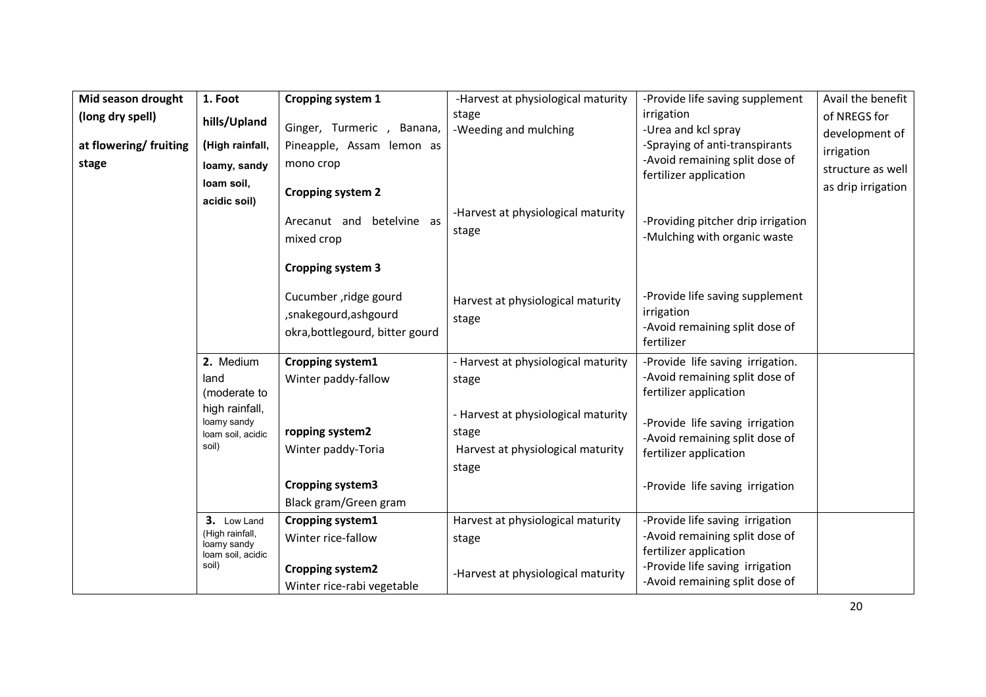| Mid season drought     | 1. Foot                                       | <b>Cropping system 1</b>        | -Harvest at physiological maturity  | -Provide life saving supplement    | Avail the benefit  |
|------------------------|-----------------------------------------------|---------------------------------|-------------------------------------|------------------------------------|--------------------|
| (long dry spell)       | hills/Upland                                  |                                 | stage                               | irrigation                         | of NREGS for       |
|                        |                                               | Ginger, Turmeric, Banana,       | -Weeding and mulching               | -Urea and kcl spray                | development of     |
| at flowering/ fruiting | (High rainfall,                               | Pineapple, Assam lemon as       |                                     | -Spraying of anti-transpirants     | irrigation         |
| stage                  | loamy, sandy                                  | mono crop                       |                                     | -Avoid remaining split dose of     | structure as well  |
|                        | loam soil,                                    |                                 |                                     | fertilizer application             | as drip irrigation |
|                        | acidic soil)                                  | <b>Cropping system 2</b>        |                                     |                                    |                    |
|                        |                                               | Arecanut and betelvine as       | -Harvest at physiological maturity  | -Providing pitcher drip irrigation |                    |
|                        |                                               | mixed crop                      | stage                               | -Mulching with organic waste       |                    |
|                        |                                               |                                 |                                     |                                    |                    |
|                        |                                               | <b>Cropping system 3</b>        |                                     |                                    |                    |
|                        |                                               | Cucumber , ridge gourd          |                                     | -Provide life saving supplement    |                    |
|                        |                                               | , snakegourd, ashgourd          | Harvest at physiological maturity   | irrigation                         |                    |
|                        |                                               | okra, bottlegourd, bitter gourd | stage                               | -Avoid remaining split dose of     |                    |
|                        |                                               |                                 |                                     | fertilizer                         |                    |
|                        | 2. Medium                                     | Cropping system1                | - Harvest at physiological maturity | -Provide life saving irrigation.   |                    |
|                        | land                                          | Winter paddy-fallow             | stage                               | -Avoid remaining split dose of     |                    |
|                        | (moderate to                                  |                                 |                                     | fertilizer application             |                    |
|                        | high rainfall,<br>loamy sandy                 |                                 | - Harvest at physiological maturity | -Provide life saving irrigation    |                    |
|                        | loam soil, acidic                             | ropping system2                 | stage                               | -Avoid remaining split dose of     |                    |
|                        | soil)                                         | Winter paddy-Toria              | Harvest at physiological maturity   | fertilizer application             |                    |
|                        |                                               |                                 | stage                               |                                    |                    |
|                        |                                               | <b>Cropping system3</b>         |                                     | -Provide life saving irrigation    |                    |
|                        |                                               | Black gram/Green gram           |                                     |                                    |                    |
|                        | 3. Low Land<br>(High rainfall,<br>loamy sandy | Cropping system1                | Harvest at physiological maturity   | -Provide life saving irrigation    |                    |
|                        |                                               | Winter rice-fallow              | stage                               | -Avoid remaining split dose of     |                    |
|                        | loam soil, acidic                             |                                 |                                     | fertilizer application             |                    |
|                        | soil)                                         | <b>Cropping system2</b>         | -Harvest at physiological maturity  | -Provide life saving irrigation    |                    |
|                        |                                               | Winter rice-rabi vegetable      |                                     | -Avoid remaining split dose of     |                    |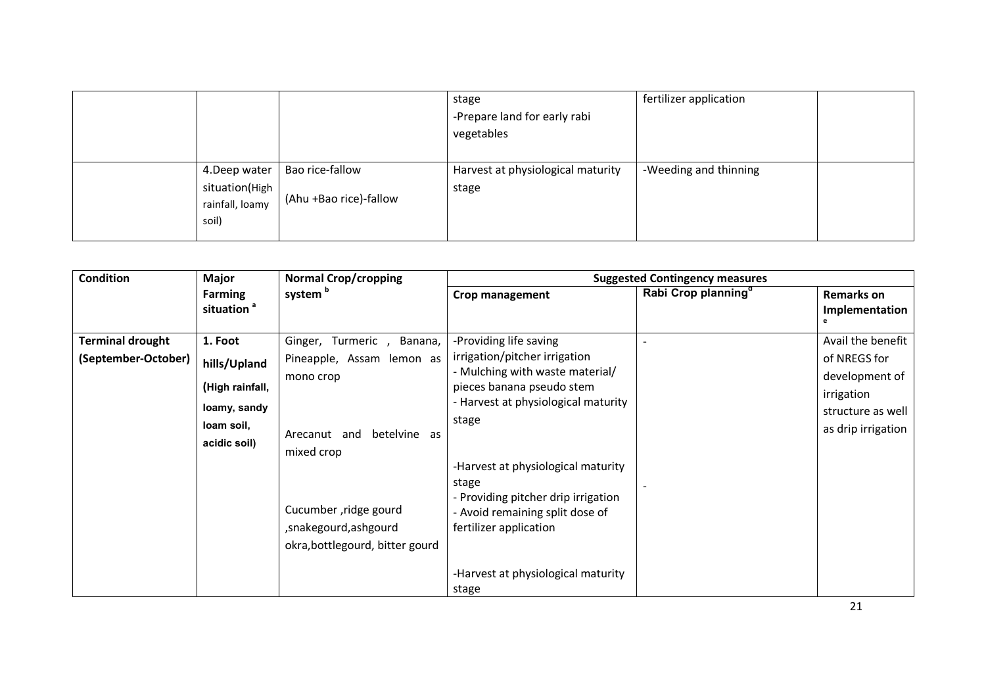|                                                             |                                           | stage<br>-Prepare land for early rabi<br>vegetables | fertilizer application |  |
|-------------------------------------------------------------|-------------------------------------------|-----------------------------------------------------|------------------------|--|
| 4. Deep water<br>situation(High<br>rainfall, loamy<br>soil) | Bao rice-fallow<br>(Ahu +Bao rice)-fallow | Harvest at physiological maturity<br>stage          | -Weeding and thinning  |  |

| <b>Condition</b>                               | <b>Major</b>                                                                             | <b>Normal Crop/cropping</b>                                                                                                                                                                               |                                                                                                                                                                                                                                                                                                                                                                           | <b>Suggested Contingency measures</b> |                                                                                                              |
|------------------------------------------------|------------------------------------------------------------------------------------------|-----------------------------------------------------------------------------------------------------------------------------------------------------------------------------------------------------------|---------------------------------------------------------------------------------------------------------------------------------------------------------------------------------------------------------------------------------------------------------------------------------------------------------------------------------------------------------------------------|---------------------------------------|--------------------------------------------------------------------------------------------------------------|
|                                                | <b>Farming</b><br>situation <sup>a</sup>                                                 | system <sup>b</sup>                                                                                                                                                                                       | Crop management                                                                                                                                                                                                                                                                                                                                                           | Rabi Crop planning <sup>a</sup>       | <b>Remarks on</b><br>Implementation                                                                          |
| <b>Terminal drought</b><br>(September-October) | 1. Foot<br>hills/Upland<br>(High rainfall,<br>loamy, sandy<br>loam soil,<br>acidic soil) | Ginger, Turmeric<br>Banana,<br>Pineapple, Assam lemon as<br>mono crop<br>betelvine as<br>Arecanut and<br>mixed crop<br>Cucumber, ridge gourd<br>, snakegourd, ashgourd<br>okra, bottlegourd, bitter gourd | -Providing life saving<br>irrigation/pitcher irrigation<br>- Mulching with waste material/<br>pieces banana pseudo stem<br>- Harvest at physiological maturity<br>stage<br>-Harvest at physiological maturity<br>stage<br>- Providing pitcher drip irrigation<br>- Avoid remaining split dose of<br>fertilizer application<br>-Harvest at physiological maturity<br>stage |                                       | Avail the benefit<br>of NREGS for<br>development of<br>irrigation<br>structure as well<br>as drip irrigation |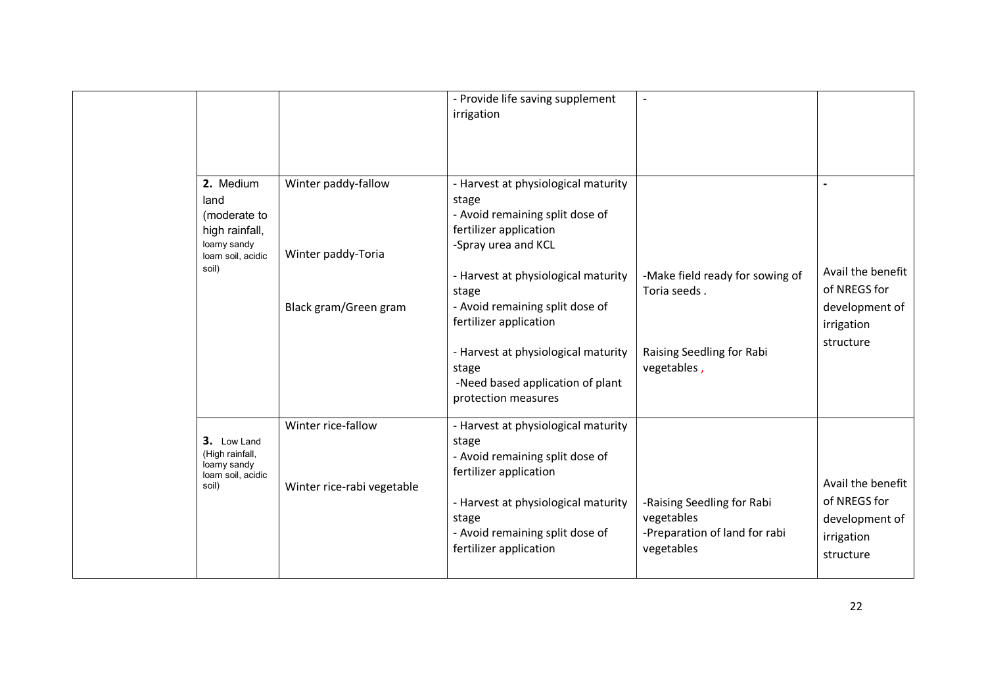|                                                                                                  |                                                  | - Provide life saving supplement<br>irrigation                                                                                                                                                                         |                                                                                         |                                                                                |
|--------------------------------------------------------------------------------------------------|--------------------------------------------------|------------------------------------------------------------------------------------------------------------------------------------------------------------------------------------------------------------------------|-----------------------------------------------------------------------------------------|--------------------------------------------------------------------------------|
| 2. Medium<br>land<br>(moderate to<br>high rainfall,<br>loamy sandy<br>loam soil, acidic<br>soil) | Winter paddy-fallow<br>Winter paddy-Toria        | - Harvest at physiological maturity<br>stage<br>- Avoid remaining split dose of<br>fertilizer application<br>-Spray urea and KCL<br>- Harvest at physiological maturity<br>stage                                       | -Make field ready for sowing of<br>Toria seeds.                                         | Avail the benefit<br>of NREGS for                                              |
|                                                                                                  | Black gram/Green gram                            | - Avoid remaining split dose of<br>fertilizer application<br>- Harvest at physiological maturity<br>stage<br>-Need based application of plant<br>protection measures                                                   | Raising Seedling for Rabi<br>vegetables,                                                | development of<br>irrigation<br>structure                                      |
| 3. Low Land<br>(High rainfall,<br>loamy sandy<br>loam soil, acidic<br>soil)                      | Winter rice-fallow<br>Winter rice-rabi vegetable | - Harvest at physiological maturity<br>stage<br>- Avoid remaining split dose of<br>fertilizer application<br>- Harvest at physiological maturity<br>stage<br>- Avoid remaining split dose of<br>fertilizer application | -Raising Seedling for Rabi<br>vegetables<br>-Preparation of land for rabi<br>vegetables | Avail the benefit<br>of NREGS for<br>development of<br>irrigation<br>structure |
|                                                                                                  |                                                  |                                                                                                                                                                                                                        |                                                                                         | 22                                                                             |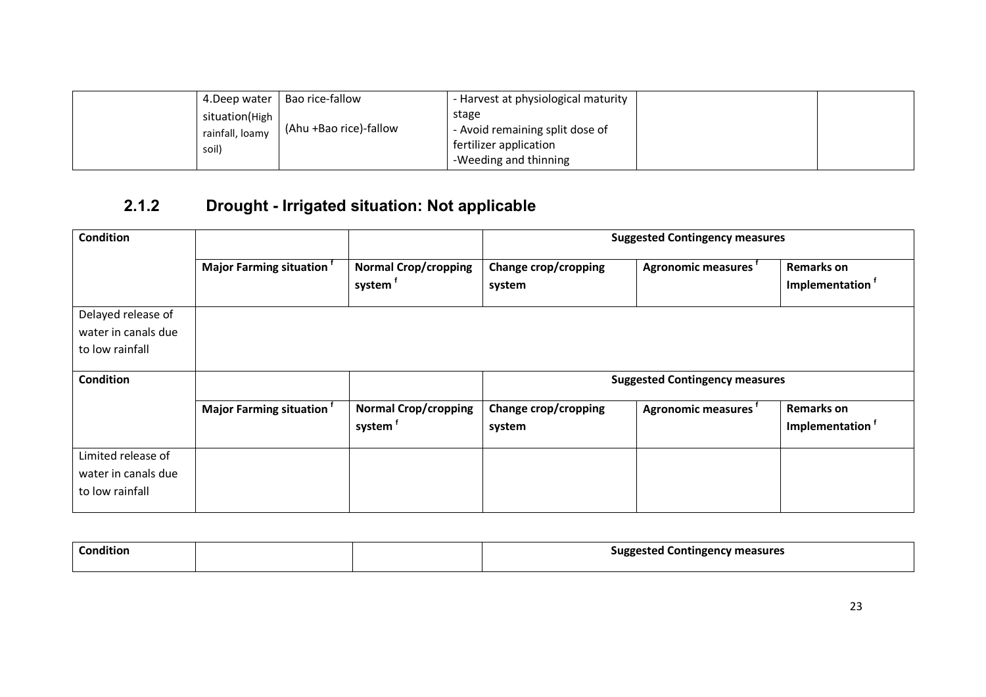| 4.Deep water    | Bao rice-fallow        | - Harvest at physiological maturity |  |
|-----------------|------------------------|-------------------------------------|--|
| situation(High  |                        | stage                               |  |
| rainfall, loamy | (Ahu +Bao rice)-fallow | - Avoid remaining split dose of     |  |
| soil)           |                        | fertilizer application              |  |
|                 |                        | -Weeding and thinning               |  |

## 2.1.2 Drought - Irrigated situation: Not applicable

| <b>Condition</b>                                             |                                      |                                                    | <b>Suggested Contingency measures</b> |                                       |                                                  |  |
|--------------------------------------------------------------|--------------------------------------|----------------------------------------------------|---------------------------------------|---------------------------------------|--------------------------------------------------|--|
|                                                              | Major Farming situation <sup>t</sup> | <b>Normal Crop/cropping</b><br>system <sup>1</sup> | Change crop/cropping<br>system        | Agronomic measures <sup>t</sup>       | <b>Remarks on</b><br>Implementation <sup>f</sup> |  |
| Delayed release of                                           |                                      |                                                    |                                       |                                       |                                                  |  |
| water in canals due                                          |                                      |                                                    |                                       |                                       |                                                  |  |
| to low rainfall                                              |                                      |                                                    |                                       |                                       |                                                  |  |
| Condition                                                    |                                      |                                                    |                                       | <b>Suggested Contingency measures</b> |                                                  |  |
|                                                              | Major Farming situation <sup>t</sup> | <b>Normal Crop/cropping</b><br>system <sup>†</sup> | Change crop/cropping<br>system        | Agronomic measures                    | <b>Remarks on</b><br>Implementation <sup>f</sup> |  |
| Limited release of<br>water in canals due<br>to low rainfall |                                      |                                                    |                                       |                                       |                                                  |  |

| .<br>Condition |  | <b>Suggested Contingency measures</b><br>оо |
|----------------|--|---------------------------------------------|
|                |  |                                             |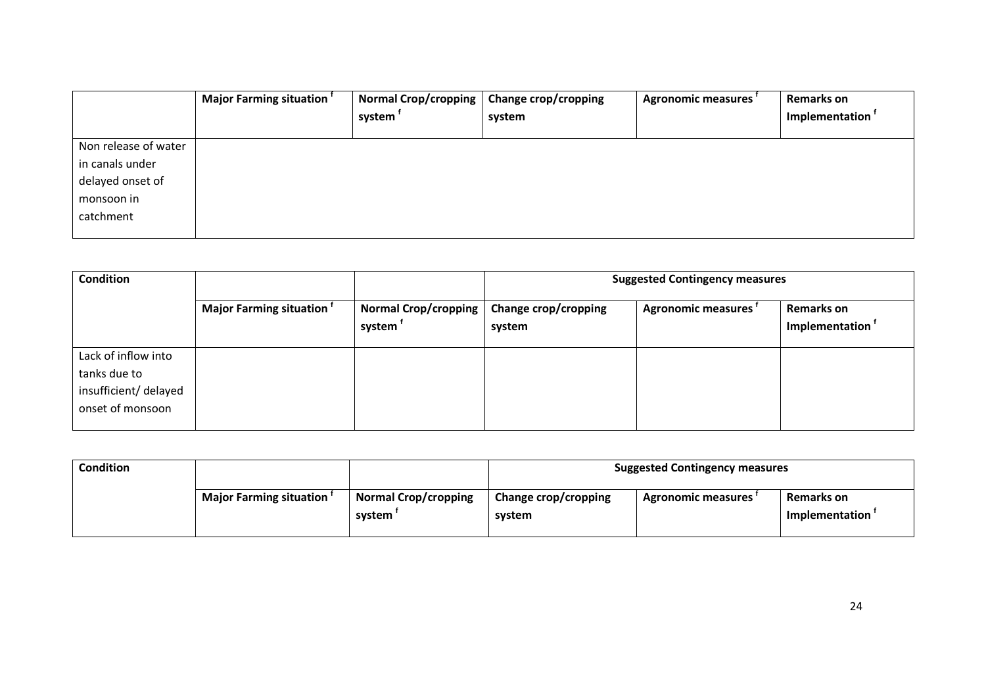|                      | Major Farming situation <sup>t</sup> | <b>Normal Crop/cropping</b><br>system <sup>1</sup> | <b>Change crop/cropping</b><br>system | Agronomic measures | <b>Remarks on</b><br>Implementation <sup>†</sup> |
|----------------------|--------------------------------------|----------------------------------------------------|---------------------------------------|--------------------|--------------------------------------------------|
| Non release of water |                                      |                                                    |                                       |                    |                                                  |
| in canals under      |                                      |                                                    |                                       |                    |                                                  |
| delayed onset of     |                                      |                                                    |                                       |                    |                                                  |
| monsoon in           |                                      |                                                    |                                       |                    |                                                  |
| catchment            |                                      |                                                    |                                       |                    |                                                  |
|                      |                                      |                                                    |                                       |                    |                                                  |

| <b>Condition</b>                                                                 |                                |                                       | <b>Suggested Contingency measures</b> |                           |                              |
|----------------------------------------------------------------------------------|--------------------------------|---------------------------------------|---------------------------------------|---------------------------|------------------------------|
|                                                                                  | <b>Major Farming situation</b> | <b>Normal Crop/cropping</b><br>system | Change crop/cropping<br>system        | <b>Agronomic measures</b> | Remarks on<br>Implementation |
| Lack of inflow into<br>tanks due to<br>insufficient/ delayed<br>onset of monsoon |                                |                                       |                                       |                           |                              |

| Condition |                         |                                       | <b>Suggested Contingency measures</b> |                           |                                     |
|-----------|-------------------------|---------------------------------------|---------------------------------------|---------------------------|-------------------------------------|
|           | Major Farming situation | <b>Normal Crop/cropping</b><br>system | Change crop/cropping<br>system        | <b>Agronomic measures</b> | Remarks on<br><b>Implementation</b> |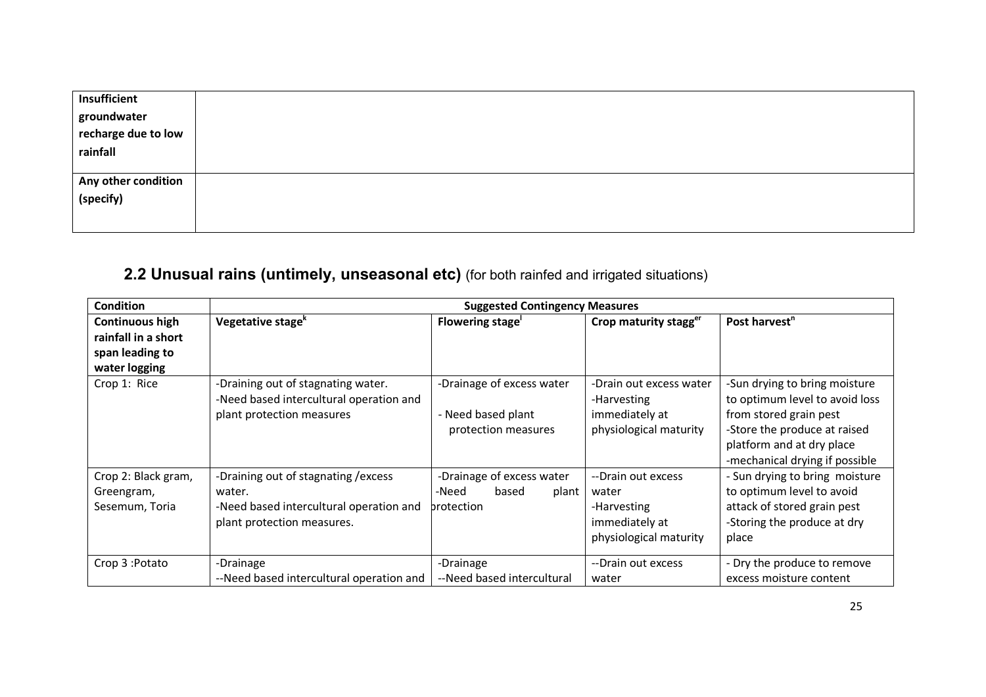| Insufficient                                   |  |
|------------------------------------------------|--|
| groundwater<br>recharge due to low<br>rainfall |  |
|                                                |  |
|                                                |  |
|                                                |  |
| Any other condition<br>(specify)               |  |
|                                                |  |
|                                                |  |
|                                                |  |

### **2.2 Unusual rains (untimely, unseasonal etc)** (for both rainfed and irrigated situations)

| <b>Condition</b>                                                           | <b>Suggested Contingency Measures</b>                                                                                   |                                                                        |                                                                                        |                                                                                                                                                                                          |  |
|----------------------------------------------------------------------------|-------------------------------------------------------------------------------------------------------------------------|------------------------------------------------------------------------|----------------------------------------------------------------------------------------|------------------------------------------------------------------------------------------------------------------------------------------------------------------------------------------|--|
| Continuous high<br>rainfall in a short<br>span leading to<br>water logging | Vegetative stage <sup>k</sup>                                                                                           | Flowering stage                                                        | Crop maturity stagger                                                                  | Post harvest <sup>n</sup>                                                                                                                                                                |  |
| Crop 1: Rice                                                               | -Draining out of stagnating water.<br>-Need based intercultural operation and<br>plant protection measures              | -Drainage of excess water<br>- Need based plant<br>protection measures | -Drain out excess water<br>-Harvesting<br>immediately at<br>physiological maturity     | -Sun drying to bring moisture<br>to optimum level to avoid loss<br>from stored grain pest<br>-Store the produce at raised<br>platform and at dry place<br>-mechanical drying if possible |  |
| Crop 2: Black gram,<br>Greengram,<br>Sesemum, Toria                        | -Draining out of stagnating / excess<br>water.<br>-Need based intercultural operation and<br>plant protection measures. | -Drainage of excess water<br>-Need<br>based<br>plant<br>brotection     | --Drain out excess<br>water<br>-Harvesting<br>immediately at<br>physiological maturity | - Sun drying to bring moisture<br>to optimum level to avoid<br>attack of stored grain pest<br>-Storing the produce at dry<br>place                                                       |  |
| Crop 3: Potato                                                             | -Drainage<br>--Need based intercultural operation and                                                                   | -Drainage<br>--Need based intercultural                                | --Drain out excess<br>water                                                            | - Dry the produce to remove<br>excess moisture content                                                                                                                                   |  |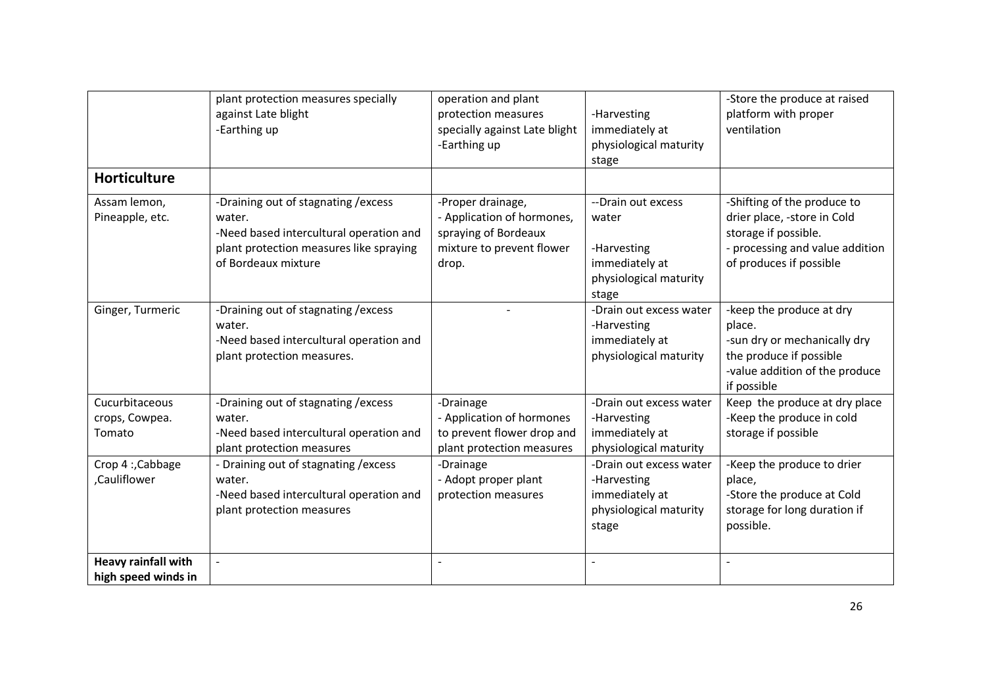|                                                   | plant protection measures specially<br>against Late blight<br>-Earthing up                                                                                  | operation and plant<br>protection measures<br>specially against Late blight<br>-Earthing up                   | -Harvesting<br>immediately at<br>physiological maturity<br>stage                                | -Store the produce at raised<br>platform with proper<br>ventilation                                                                              |
|---------------------------------------------------|-------------------------------------------------------------------------------------------------------------------------------------------------------------|---------------------------------------------------------------------------------------------------------------|-------------------------------------------------------------------------------------------------|--------------------------------------------------------------------------------------------------------------------------------------------------|
| <b>Horticulture</b>                               |                                                                                                                                                             |                                                                                                               |                                                                                                 |                                                                                                                                                  |
| Assam lemon,<br>Pineapple, etc.                   | -Draining out of stagnating / excess<br>water.<br>-Need based intercultural operation and<br>plant protection measures like spraying<br>of Bordeaux mixture | -Proper drainage,<br>- Application of hormones,<br>spraying of Bordeaux<br>mixture to prevent flower<br>drop. | --Drain out excess<br>water<br>-Harvesting<br>immediately at<br>physiological maturity<br>stage | -Shifting of the produce to<br>drier place, -store in Cold<br>storage if possible.<br>- processing and value addition<br>of produces if possible |
| Ginger, Turmeric                                  | -Draining out of stagnating / excess<br>water.<br>-Need based intercultural operation and<br>plant protection measures.                                     |                                                                                                               | -Drain out excess water<br>-Harvesting<br>immediately at<br>physiological maturity              | -keep the produce at dry<br>place.<br>-sun dry or mechanically dry<br>the produce if possible<br>-value addition of the produce<br>if possible   |
| Cucurbitaceous<br>crops, Cowpea.<br>Tomato        | -Draining out of stagnating / excess<br>water.<br>-Need based intercultural operation and<br>plant protection measures                                      | -Drainage<br>- Application of hormones<br>to prevent flower drop and<br>plant protection measures             | -Drain out excess water<br>-Harvesting<br>immediately at<br>physiological maturity              | Keep the produce at dry place<br>-Keep the produce in cold<br>storage if possible                                                                |
| Crop 4: Cabbage<br>,Cauliflower                   | - Draining out of stagnating / excess<br>water.<br>-Need based intercultural operation and<br>plant protection measures                                     | -Drainage<br>- Adopt proper plant<br>protection measures                                                      | -Drain out excess water<br>-Harvesting<br>immediately at<br>physiological maturity<br>stage     | -Keep the produce to drier<br>place,<br>-Store the produce at Cold<br>storage for long duration if<br>possible.                                  |
| <b>Heavy rainfall with</b><br>high speed winds in | $\overline{a}$                                                                                                                                              |                                                                                                               |                                                                                                 |                                                                                                                                                  |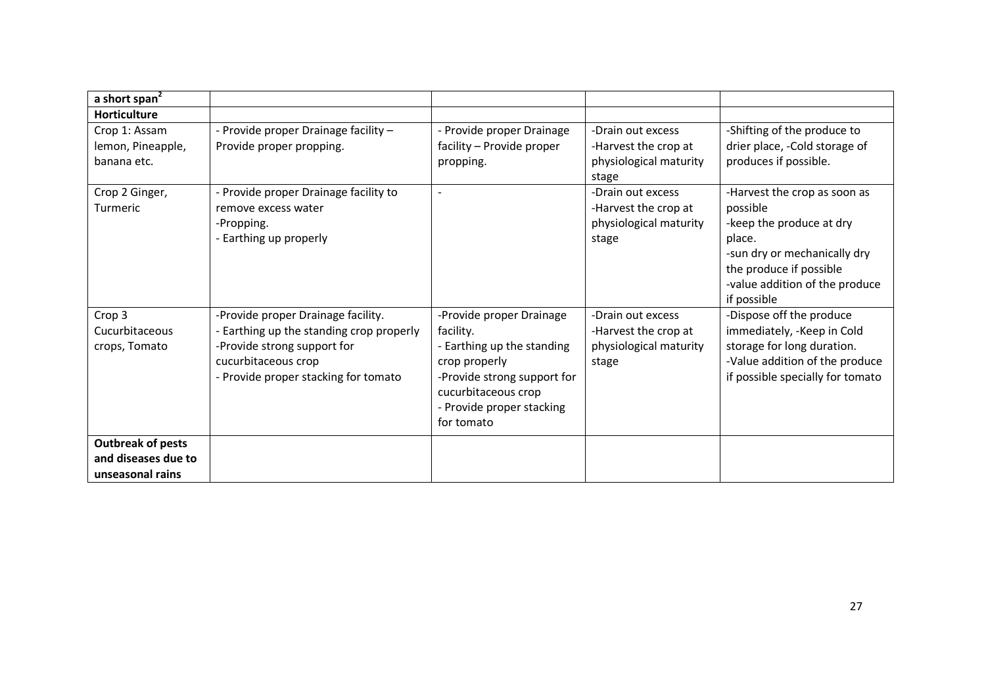| a short span <sup>2</sup>                         |                                                                                                                                                                              |                                                                                                                                                                                       |                                                                              |                                                                                                                                                                                            |
|---------------------------------------------------|------------------------------------------------------------------------------------------------------------------------------------------------------------------------------|---------------------------------------------------------------------------------------------------------------------------------------------------------------------------------------|------------------------------------------------------------------------------|--------------------------------------------------------------------------------------------------------------------------------------------------------------------------------------------|
| <b>Horticulture</b>                               |                                                                                                                                                                              |                                                                                                                                                                                       |                                                                              |                                                                                                                                                                                            |
| Crop 1: Assam<br>lemon, Pineapple,<br>banana etc. | - Provide proper Drainage facility -<br>Provide proper propping.                                                                                                             | - Provide proper Drainage<br>facility - Provide proper<br>propping.                                                                                                                   | -Drain out excess<br>-Harvest the crop at<br>physiological maturity<br>stage | -Shifting of the produce to<br>drier place, -Cold storage of<br>produces if possible.                                                                                                      |
| Crop 2 Ginger,<br>Turmeric                        | - Provide proper Drainage facility to<br>remove excess water<br>-Propping.<br>- Earthing up properly                                                                         | $\overline{\phantom{a}}$                                                                                                                                                              | -Drain out excess<br>-Harvest the crop at<br>physiological maturity<br>stage | -Harvest the crop as soon as<br>possible<br>-keep the produce at dry<br>place.<br>-sun dry or mechanically dry<br>the produce if possible<br>-value addition of the produce<br>if possible |
| Crop 3<br>Cucurbitaceous<br>crops, Tomato         | -Provide proper Drainage facility.<br>- Earthing up the standing crop properly<br>-Provide strong support for<br>cucurbitaceous crop<br>- Provide proper stacking for tomato | -Provide proper Drainage<br>facility.<br>- Earthing up the standing<br>crop properly<br>-Provide strong support for<br>cucurbitaceous crop<br>- Provide proper stacking<br>for tomato | -Drain out excess<br>-Harvest the crop at<br>physiological maturity<br>stage | -Dispose off the produce<br>immediately, -Keep in Cold<br>storage for long duration.<br>-Value addition of the produce<br>if possible specially for tomato                                 |
| <b>Outbreak of pests</b>                          |                                                                                                                                                                              |                                                                                                                                                                                       |                                                                              |                                                                                                                                                                                            |
| and diseases due to<br>unseasonal rains           |                                                                                                                                                                              |                                                                                                                                                                                       |                                                                              |                                                                                                                                                                                            |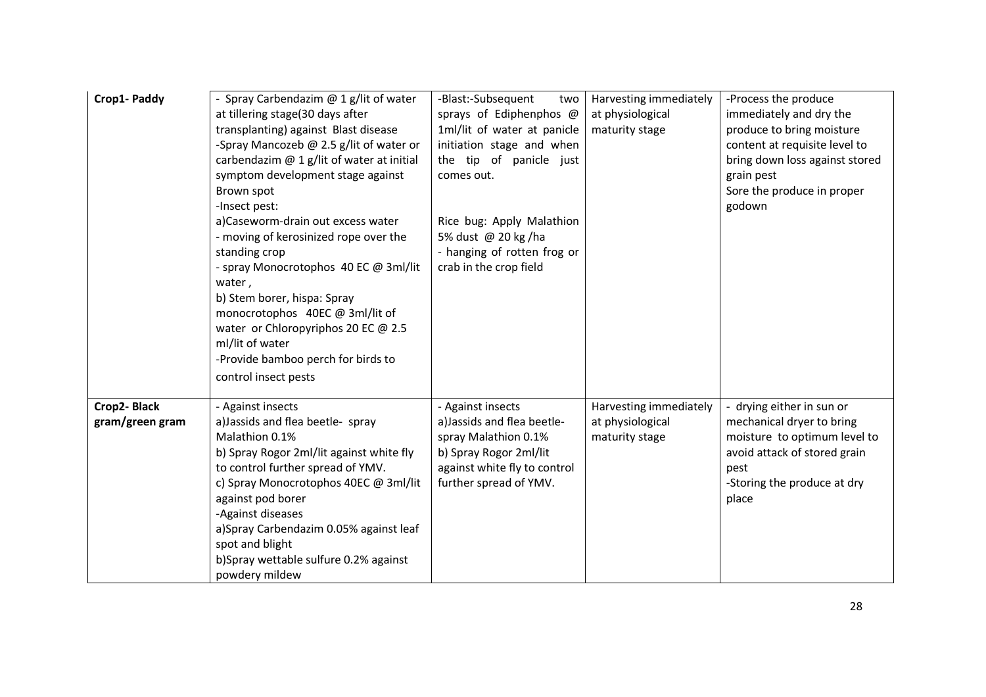| Crop1- Paddy                   | - Spray Carbendazim $@$ 1 g/lit of water<br>at tillering stage(30 days after<br>transplanting) against Blast disease<br>-Spray Mancozeb @ 2.5 g/lit of water or<br>carbendazim @ 1 g/lit of water at initial<br>symptom development stage against<br>Brown spot<br>-Insect pest:<br>a)Caseworm-drain out excess water<br>- moving of kerosinized rope over the<br>standing crop<br>- spray Monocrotophos 40 EC @ 3ml/lit<br>water,<br>b) Stem borer, hispa: Spray<br>monocrotophos 40EC @ 3ml/lit of<br>water or Chloropyriphos 20 EC @ 2.5<br>ml/lit of water<br>-Provide bamboo perch for birds to<br>control insect pests | -Blast:-Subsequent<br>two<br>sprays of Ediphenphos @<br>1ml/lit of water at panicle<br>initiation stage and when<br>the tip of panicle just<br>comes out.<br>Rice bug: Apply Malathion<br>5% dust @ 20 kg/ha<br>- hanging of rotten frog or<br>crab in the crop field | Harvesting immediately<br>at physiological<br>maturity stage | -Process the produce<br>immediately and dry the<br>produce to bring moisture<br>content at requisite level to<br>bring down loss against stored<br>grain pest<br>Sore the produce in proper<br>godown |
|--------------------------------|------------------------------------------------------------------------------------------------------------------------------------------------------------------------------------------------------------------------------------------------------------------------------------------------------------------------------------------------------------------------------------------------------------------------------------------------------------------------------------------------------------------------------------------------------------------------------------------------------------------------------|-----------------------------------------------------------------------------------------------------------------------------------------------------------------------------------------------------------------------------------------------------------------------|--------------------------------------------------------------|-------------------------------------------------------------------------------------------------------------------------------------------------------------------------------------------------------|
| Crop2-Black<br>gram/green gram | - Against insects<br>a) Jassids and flea beetle- spray<br>Malathion 0.1%<br>b) Spray Rogor 2ml/lit against white fly<br>to control further spread of YMV.<br>c) Spray Monocrotophos 40EC @ 3ml/lit<br>against pod borer<br>-Against diseases<br>a)Spray Carbendazim 0.05% against leaf<br>spot and blight<br>b)Spray wettable sulfure 0.2% against<br>powdery mildew                                                                                                                                                                                                                                                         | - Against insects<br>a) Jassids and flea beetle-<br>spray Malathion 0.1%<br>b) Spray Rogor 2ml/lit<br>against white fly to control<br>further spread of YMV.                                                                                                          | Harvesting immediately<br>at physiological<br>maturity stage | drying either in sun or<br>mechanical dryer to bring<br>moisture to optimum level to<br>avoid attack of stored grain<br>pest<br>-Storing the produce at dry<br>place                                  |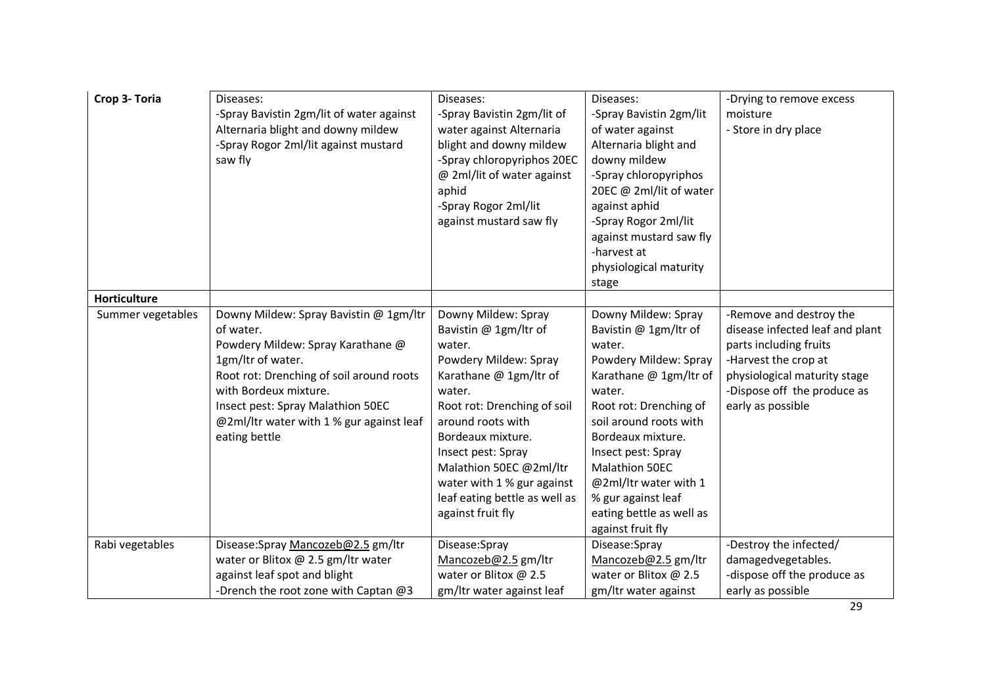| Crop 3- Toria     | Diseases:<br>-Spray Bavistin 2gm/lit of water against<br>Alternaria blight and downy mildew<br>-Spray Rogor 2ml/lit against mustard<br>saw fly                                                                                                                                       | Diseases:<br>-Spray Bavistin 2gm/lit of<br>water against Alternaria<br>blight and downy mildew<br>-Spray chloropyriphos 20EC<br>@ 2ml/lit of water against<br>aphid<br>-Spray Rogor 2ml/lit<br>against mustard saw fly                                                                                                            | Diseases:<br>-Spray Bavistin 2gm/lit<br>of water against<br>Alternaria blight and<br>downy mildew<br>-Spray chloropyriphos<br>20EC @ 2ml/lit of water<br>against aphid<br>-Spray Rogor 2ml/lit<br>against mustard saw fly<br>-harvest at<br>physiological maturity<br>stage                                                          | -Drying to remove excess<br>moisture<br>- Store in dry place                                                                                                                                     |
|-------------------|--------------------------------------------------------------------------------------------------------------------------------------------------------------------------------------------------------------------------------------------------------------------------------------|-----------------------------------------------------------------------------------------------------------------------------------------------------------------------------------------------------------------------------------------------------------------------------------------------------------------------------------|--------------------------------------------------------------------------------------------------------------------------------------------------------------------------------------------------------------------------------------------------------------------------------------------------------------------------------------|--------------------------------------------------------------------------------------------------------------------------------------------------------------------------------------------------|
| Horticulture      |                                                                                                                                                                                                                                                                                      |                                                                                                                                                                                                                                                                                                                                   |                                                                                                                                                                                                                                                                                                                                      |                                                                                                                                                                                                  |
| Summer vegetables | Downy Mildew: Spray Bavistin @ 1gm/ltr<br>of water.<br>Powdery Mildew: Spray Karathane @<br>1gm/ltr of water.<br>Root rot: Drenching of soil around roots<br>with Bordeux mixture.<br>Insect pest: Spray Malathion 50EC<br>@2ml/ltr water with 1 % gur against leaf<br>eating bettle | Downy Mildew: Spray<br>Bavistin @ 1gm/ltr of<br>water.<br>Powdery Mildew: Spray<br>Karathane @ 1gm/ltr of<br>water.<br>Root rot: Drenching of soil<br>around roots with<br>Bordeaux mixture.<br>Insect pest: Spray<br>Malathion 50EC @2ml/ltr<br>water with 1 % gur against<br>leaf eating bettle as well as<br>against fruit fly | Downy Mildew: Spray<br>Bavistin @ 1gm/ltr of<br>water.<br>Powdery Mildew: Spray<br>Karathane @ 1gm/ltr of<br>water.<br>Root rot: Drenching of<br>soil around roots with<br>Bordeaux mixture.<br>Insect pest: Spray<br>Malathion 50EC<br>@2ml/ltr water with 1<br>% gur against leaf<br>eating bettle as well as<br>against fruit fly | -Remove and destroy the<br>disease infected leaf and plant<br>parts including fruits<br>-Harvest the crop at<br>physiological maturity stage<br>-Dispose off the produce as<br>early as possible |
| Rabi vegetables   | Disease:Spray Mancozeb@2.5 gm/ltr                                                                                                                                                                                                                                                    | Disease:Spray                                                                                                                                                                                                                                                                                                                     | Disease:Spray                                                                                                                                                                                                                                                                                                                        | -Destroy the infected/                                                                                                                                                                           |
|                   | water or Blitox @ 2.5 gm/ltr water                                                                                                                                                                                                                                                   | Mancozeb@2.5 gm/ltr                                                                                                                                                                                                                                                                                                               | Mancozeb@2.5 gm/ltr                                                                                                                                                                                                                                                                                                                  | damagedvegetables.                                                                                                                                                                               |
|                   | against leaf spot and blight                                                                                                                                                                                                                                                         | water or Blitox @ 2.5                                                                                                                                                                                                                                                                                                             | water or Blitox @ 2.5                                                                                                                                                                                                                                                                                                                | -dispose off the produce as                                                                                                                                                                      |
|                   | -Drench the root zone with Captan @3                                                                                                                                                                                                                                                 | gm/ltr water against leaf                                                                                                                                                                                                                                                                                                         | gm/ltr water against                                                                                                                                                                                                                                                                                                                 | early as possible                                                                                                                                                                                |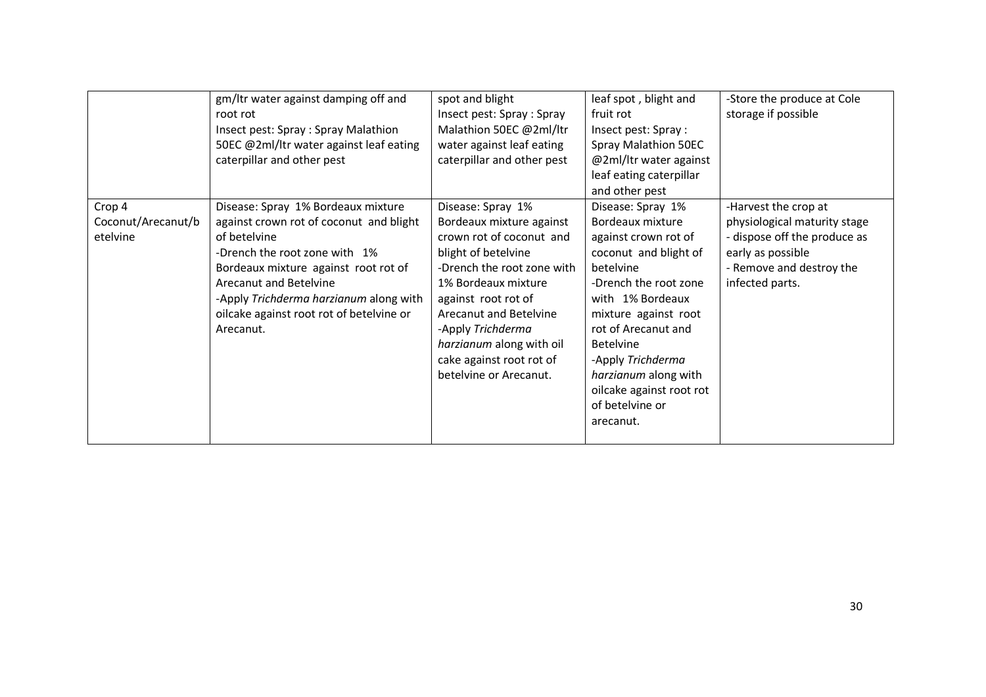|                    | gm/ltr water against damping off and     | spot and blight            | leaf spot, blight and    | -Store the produce at Cole   |
|--------------------|------------------------------------------|----------------------------|--------------------------|------------------------------|
|                    | root rot                                 | Insect pest: Spray : Spray | fruit rot                | storage if possible          |
|                    | Insect pest: Spray : Spray Malathion     | Malathion 50EC @2ml/ltr    | Insect pest: Spray :     |                              |
|                    | 50EC @2ml/ltr water against leaf eating  | water against leaf eating  | Spray Malathion 50EC     |                              |
|                    | caterpillar and other pest               | caterpillar and other pest | @2ml/ltr water against   |                              |
|                    |                                          |                            | leaf eating caterpillar  |                              |
|                    |                                          |                            | and other pest           |                              |
| Crop 4             | Disease: Spray 1% Bordeaux mixture       | Disease: Spray 1%          | Disease: Spray 1%        | -Harvest the crop at         |
| Coconut/Arecanut/b | against crown rot of coconut and blight  | Bordeaux mixture against   | Bordeaux mixture         | physiological maturity stage |
| etelvine           | of betelvine                             | crown rot of coconut and   | against crown rot of     | - dispose off the produce as |
|                    | -Drench the root zone with 1%            | blight of betelvine        | coconut and blight of    | early as possible            |
|                    | Bordeaux mixture against root rot of     | -Drench the root zone with | betelvine                | - Remove and destroy the     |
|                    | Arecanut and Betelvine                   | 1% Bordeaux mixture        | -Drench the root zone    | infected parts.              |
|                    | -Apply Trichderma harzianum along with   | against root rot of        | with 1% Bordeaux         |                              |
|                    | oilcake against root rot of betelvine or | Arecanut and Betelvine     | mixture against root     |                              |
|                    | Arecanut.                                | -Apply Trichderma          | rot of Arecanut and      |                              |
|                    |                                          | harzianum along with oil   | <b>Betelvine</b>         |                              |
|                    |                                          | cake against root rot of   | -Apply Trichderma        |                              |
|                    |                                          | betelvine or Arecanut.     | harzianum along with     |                              |
|                    |                                          |                            | oilcake against root rot |                              |
|                    |                                          |                            | of betelvine or          |                              |
|                    |                                          |                            | arecanut.                |                              |
|                    |                                          |                            |                          |                              |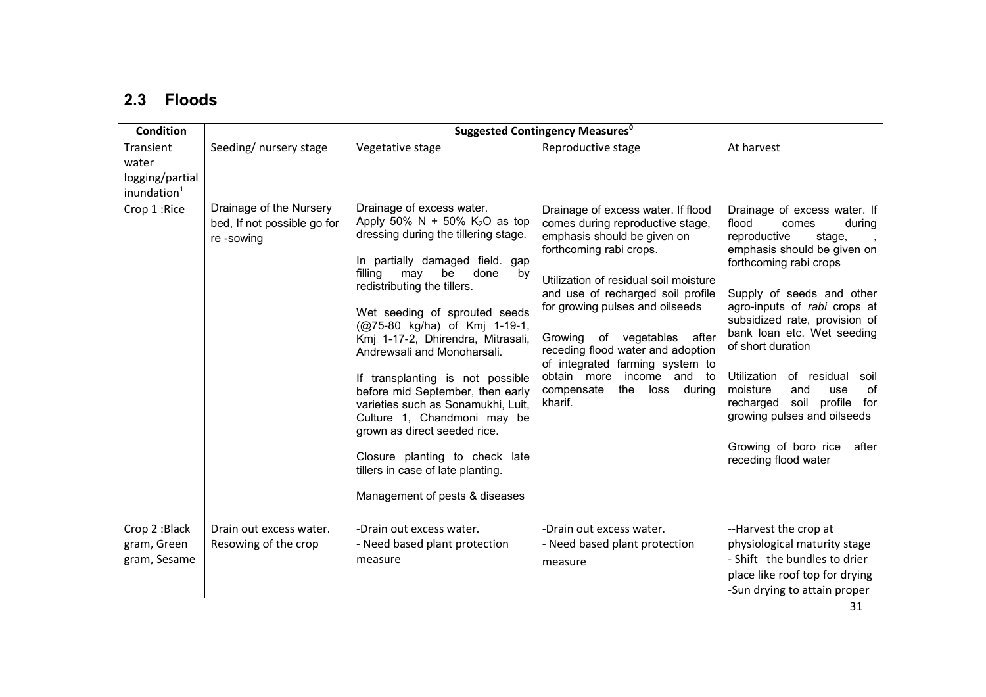### 2.3 Floods

| <b>Condition</b>                                                 | <b>Suggested Contingency Measures</b> <sup>0</sup>                  |                                                                                                                                                                                                                                                                                                                                                                                                                                                                                                                                                                                                                                       |                                                                                                                                                                                                                                                                                                                                                                                                                                            |                                                                                                                                                                                                                                                                                                                                                                                                                                                                                             |  |
|------------------------------------------------------------------|---------------------------------------------------------------------|---------------------------------------------------------------------------------------------------------------------------------------------------------------------------------------------------------------------------------------------------------------------------------------------------------------------------------------------------------------------------------------------------------------------------------------------------------------------------------------------------------------------------------------------------------------------------------------------------------------------------------------|--------------------------------------------------------------------------------------------------------------------------------------------------------------------------------------------------------------------------------------------------------------------------------------------------------------------------------------------------------------------------------------------------------------------------------------------|---------------------------------------------------------------------------------------------------------------------------------------------------------------------------------------------------------------------------------------------------------------------------------------------------------------------------------------------------------------------------------------------------------------------------------------------------------------------------------------------|--|
| Transient<br>water<br>logging/partial<br>inundation <sup>1</sup> | Seeding/ nursery stage                                              | Vegetative stage                                                                                                                                                                                                                                                                                                                                                                                                                                                                                                                                                                                                                      | Reproductive stage                                                                                                                                                                                                                                                                                                                                                                                                                         | At harvest                                                                                                                                                                                                                                                                                                                                                                                                                                                                                  |  |
| Crop 1:Rice                                                      | Drainage of the Nursery<br>bed, If not possible go for<br>re-sowing | Drainage of excess water.<br>Apply 50% N + 50% $K_2O$ as top<br>dressing during the tillering stage.<br>In partially damaged field. gap<br>done<br>filling may<br>be<br>by<br>redistributing the tillers.<br>Wet seeding of sprouted seeds<br>(@75-80 kg/ha) of Kmj 1-19-1,<br>Kmj 1-17-2, Dhirendra, Mitrasali,<br>Andrewsali and Monoharsali.<br>If transplanting is not possible<br>before mid September, then early<br>varieties such as Sonamukhi, Luit,<br>Culture 1, Chandmoni may be<br>grown as direct seeded rice.<br>Closure planting to check late<br>tillers in case of late planting.<br>Management of pests & diseases | Drainage of excess water. If flood<br>comes during reproductive stage,<br>emphasis should be given on<br>forthcoming rabi crops.<br>Utilization of residual soil moisture<br>and use of recharged soil profile<br>for growing pulses and oilseeds<br>Growing of vegetables<br>after<br>receding flood water and adoption<br>of integrated farming system to<br>obtain more income and to<br>compensate<br>the<br>loss<br>during<br>kharif. | Drainage of excess water. If<br>flood<br>during<br>comes<br>reproductive<br>stage,<br>emphasis should be given on<br>forthcoming rabi crops<br>Supply of seeds and other<br>agro-inputs of rabi crops at<br>subsidized rate, provision of<br>bank loan etc. Wet seeding<br>of short duration<br>Utilization<br>of residual<br>soil<br>of<br>moisture<br>and<br>use<br>recharged soil profile<br>for<br>growing pulses and oilseeds<br>Growing of boro rice<br>after<br>receding flood water |  |
| Crop 2: Black<br>gram, Green<br>gram, Sesame                     | Drain out excess water.<br>Resowing of the crop                     | -Drain out excess water.<br>- Need based plant protection<br>measure                                                                                                                                                                                                                                                                                                                                                                                                                                                                                                                                                                  | -Drain out excess water.<br>- Need based plant protection<br>measure                                                                                                                                                                                                                                                                                                                                                                       | --Harvest the crop at<br>physiological maturity stage<br>- Shift the bundles to drier<br>place like roof top for drying<br>-Sun drying to attain proper                                                                                                                                                                                                                                                                                                                                     |  |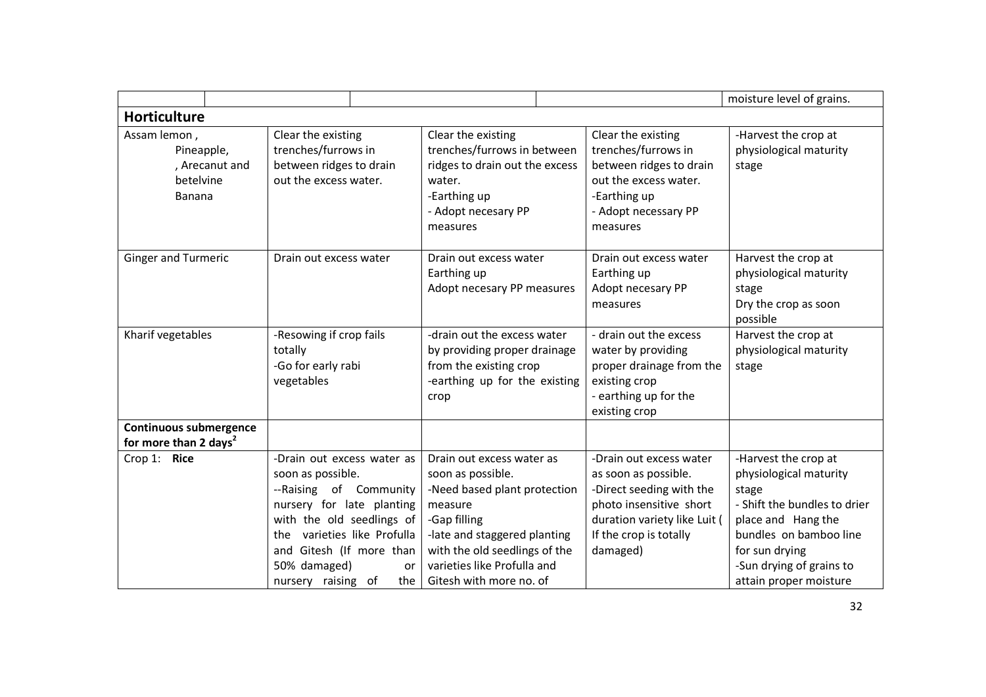|                                                                     |                                                                                                                                                                                                                                                   |                                                                                                                                                                                                                                      |                                                                                                                                                                              | moisture level of grains.                                                                                                                                                                                       |
|---------------------------------------------------------------------|---------------------------------------------------------------------------------------------------------------------------------------------------------------------------------------------------------------------------------------------------|--------------------------------------------------------------------------------------------------------------------------------------------------------------------------------------------------------------------------------------|------------------------------------------------------------------------------------------------------------------------------------------------------------------------------|-----------------------------------------------------------------------------------------------------------------------------------------------------------------------------------------------------------------|
| <b>Horticulture</b>                                                 |                                                                                                                                                                                                                                                   |                                                                                                                                                                                                                                      |                                                                                                                                                                              |                                                                                                                                                                                                                 |
| Assam lemon,<br>Pineapple,<br>, Arecanut and<br>betelvine<br>Banana | Clear the existing<br>trenches/furrows in<br>between ridges to drain<br>out the excess water.                                                                                                                                                     | Clear the existing<br>trenches/furrows in between<br>ridges to drain out the excess<br>water.<br>-Earthing up<br>- Adopt necesary PP<br>measures                                                                                     | Clear the existing<br>trenches/furrows in<br>between ridges to drain<br>out the excess water.<br>-Earthing up<br>- Adopt necessary PP<br>measures                            | -Harvest the crop at<br>physiological maturity<br>stage                                                                                                                                                         |
| <b>Ginger and Turmeric</b>                                          | Drain out excess water                                                                                                                                                                                                                            | Drain out excess water<br>Earthing up<br>Adopt necesary PP measures                                                                                                                                                                  | Drain out excess water<br>Earthing up<br>Adopt necesary PP<br>measures                                                                                                       | Harvest the crop at<br>physiological maturity<br>stage<br>Dry the crop as soon<br>possible                                                                                                                      |
| Kharif vegetables                                                   | -Resowing if crop fails<br>totally<br>-Go for early rabi<br>vegetables                                                                                                                                                                            | -drain out the excess water<br>by providing proper drainage<br>from the existing crop<br>-earthing up for the existing<br>crop                                                                                                       | - drain out the excess<br>water by providing<br>proper drainage from the<br>existing crop<br>- earthing up for the<br>existing crop                                          | Harvest the crop at<br>physiological maturity<br>stage                                                                                                                                                          |
| <b>Continuous submergence</b><br>for more than 2 days <sup>2</sup>  |                                                                                                                                                                                                                                                   |                                                                                                                                                                                                                                      |                                                                                                                                                                              |                                                                                                                                                                                                                 |
| Crop 1: Rice                                                        | -Drain out excess water as<br>soon as possible.<br>--Raising of Community<br>nursery for late planting<br>with the old seedlings of<br>the varieties like Profulla<br>and Gitesh (If more than<br>50% damaged)<br>or<br>nursery raising of<br>the | Drain out excess water as<br>soon as possible.<br>-Need based plant protection<br>measure<br>-Gap filling<br>-late and staggered planting<br>with the old seedlings of the<br>varieties like Profulla and<br>Gitesh with more no. of | -Drain out excess water<br>as soon as possible.<br>-Direct seeding with the<br>photo insensitive short<br>duration variety like Luit (<br>If the crop is totally<br>damaged) | -Harvest the crop at<br>physiological maturity<br>stage<br>- Shift the bundles to drier<br>place and Hang the<br>bundles on bamboo line<br>for sun drying<br>-Sun drying of grains to<br>attain proper moisture |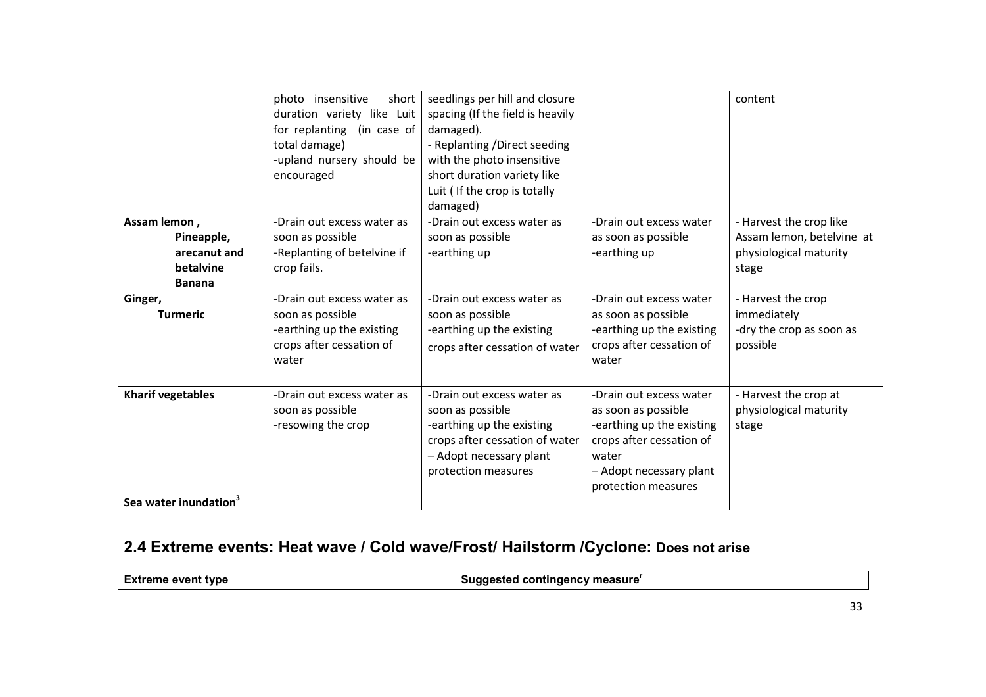|                                                                                                        | photo insensitive<br>short<br>duration variety like Luit<br>for replanting (in case of<br>total damage)<br>-upland nursery should be<br>encouraged                                                               | seedlings per hill and closure<br>spacing (If the field is heavily<br>damaged).<br>- Replanting / Direct seeding<br>with the photo insensitive<br>short duration variety like<br>Luit ( If the crop is totally<br>damaged) |                                                                                                                                                                                    | content                                                                                                                                                              |
|--------------------------------------------------------------------------------------------------------|------------------------------------------------------------------------------------------------------------------------------------------------------------------------------------------------------------------|----------------------------------------------------------------------------------------------------------------------------------------------------------------------------------------------------------------------------|------------------------------------------------------------------------------------------------------------------------------------------------------------------------------------|----------------------------------------------------------------------------------------------------------------------------------------------------------------------|
| Assam lemon,<br>Pineapple,<br>arecanut and<br>betalvine<br><b>Banana</b><br>Ginger,<br><b>Turmeric</b> | -Drain out excess water as<br>soon as possible<br>-Replanting of betelvine if<br>crop fails.<br>-Drain out excess water as<br>soon as possible<br>-earthing up the existing<br>crops after cessation of<br>water | -Drain out excess water as<br>soon as possible<br>-earthing up<br>-Drain out excess water as<br>soon as possible<br>-earthing up the existing<br>crops after cessation of water                                            | -Drain out excess water<br>as soon as possible<br>-earthing up<br>-Drain out excess water<br>as soon as possible<br>-earthing up the existing<br>crops after cessation of<br>water | - Harvest the crop like<br>Assam lemon, betelvine at<br>physiological maturity<br>stage<br>- Harvest the crop<br>immediately<br>-dry the crop as soon as<br>possible |
| <b>Kharif vegetables</b><br>Sea water inundation <sup>3</sup>                                          | -Drain out excess water as<br>soon as possible<br>-resowing the crop                                                                                                                                             | -Drain out excess water as<br>soon as possible<br>-earthing up the existing<br>crops after cessation of water<br>- Adopt necessary plant<br>protection measures                                                            | -Drain out excess water<br>as soon as possible<br>-earthing up the existing<br>crops after cessation of<br>water<br>- Adopt necessary plant<br>protection measures                 | - Harvest the crop at<br>physiological maturity<br>stage                                                                                                             |

## 2.4 Extreme events: Heat wave / Cold wave/Frost/ Hailstorm /Cyclone: Does not arise

Extreme event type

Suggested contingency measure<sup>r</sup>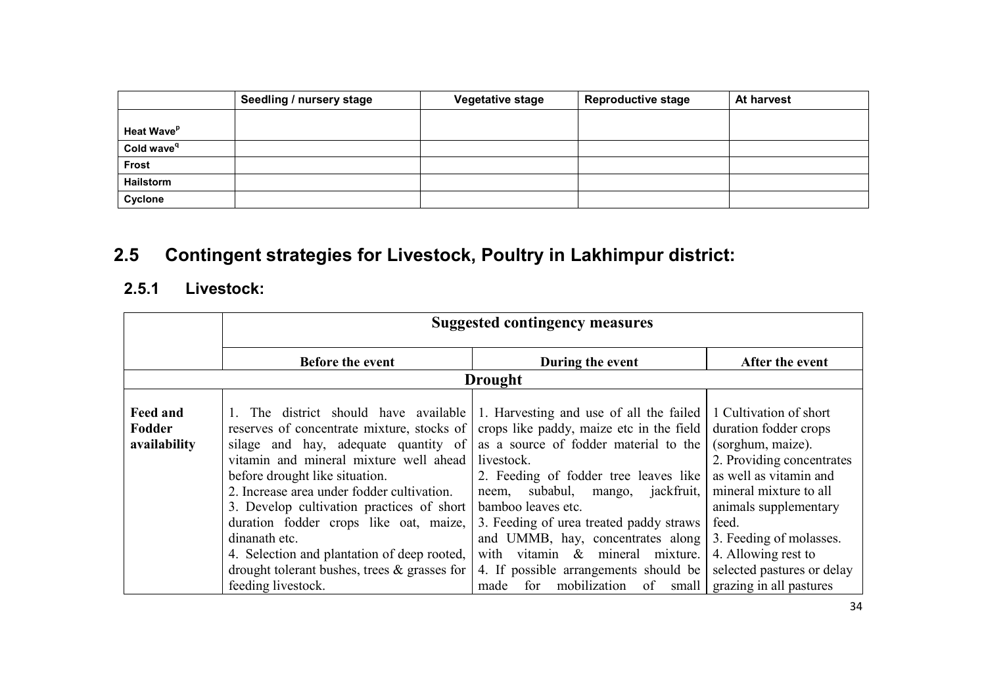|                        | Seedling / nursery stage | <b>Vegetative stage</b> | <b>Reproductive stage</b> | At harvest |
|------------------------|--------------------------|-------------------------|---------------------------|------------|
|                        |                          |                         |                           |            |
| Heat Wave <sup>p</sup> |                          |                         |                           |            |
| Cold wave <sup>q</sup> |                          |                         |                           |            |
| Frost                  |                          |                         |                           |            |
| <b>Hailstorm</b>       |                          |                         |                           |            |
| Cyclone                |                          |                         |                           |            |

# 2.5 Contingent strategies for Livestock, Poultry in Lakhimpur district:

## 2.5.1 Livestock:

|                                           | <b>Suggested contingency measures</b>                                                                                                                                                                                                                                                                                                                                                                                                                        |                                                                                                                                                                                                                                                                                                                                                                                                                       |                                                                                                                                                                                                                                                                         |
|-------------------------------------------|--------------------------------------------------------------------------------------------------------------------------------------------------------------------------------------------------------------------------------------------------------------------------------------------------------------------------------------------------------------------------------------------------------------------------------------------------------------|-----------------------------------------------------------------------------------------------------------------------------------------------------------------------------------------------------------------------------------------------------------------------------------------------------------------------------------------------------------------------------------------------------------------------|-------------------------------------------------------------------------------------------------------------------------------------------------------------------------------------------------------------------------------------------------------------------------|
|                                           | <b>Before the event</b>                                                                                                                                                                                                                                                                                                                                                                                                                                      | During the event                                                                                                                                                                                                                                                                                                                                                                                                      | After the event                                                                                                                                                                                                                                                         |
|                                           |                                                                                                                                                                                                                                                                                                                                                                                                                                                              | <b>Drought</b>                                                                                                                                                                                                                                                                                                                                                                                                        |                                                                                                                                                                                                                                                                         |
| <b>Feed and</b><br>Fodder<br>availability | The district should have available<br>reserves of concentrate mixture, stocks of<br>silage and hay, adequate quantity of<br>vitamin and mineral mixture well ahead<br>before drought like situation.<br>2. Increase area under fodder cultivation.<br>3. Develop cultivation practices of short<br>duration fodder crops like oat, maize,<br>dinanath etc.<br>4. Selection and plantation of deep rooted,<br>drought tolerant bushes, trees $\&$ grasses for | 1. Harvesting and use of all the failed<br>crops like paddy, maize etc in the field<br>as a source of fodder material to the<br>livestock.<br>2. Feeding of fodder tree leaves like<br>subabul,<br>jackfruit,<br>mango,<br>neem,<br>bamboo leaves etc.<br>3. Feeding of urea treated paddy straws<br>and UMMB, hay, concentrates along<br>with vitamin & mineral<br>mixture.<br>4. If possible arrangements should be | 1 Cultivation of short<br>duration fodder crops<br>(sorghum, maize).<br>2. Providing concentrates<br>as well as vitamin and<br>mineral mixture to all<br>animals supplementary<br>feed.<br>3. Feeding of molasses.<br>4. Allowing rest to<br>selected pastures or delay |
|                                           | feeding livestock.                                                                                                                                                                                                                                                                                                                                                                                                                                           | mobilization<br>for<br>made<br>of<br>small                                                                                                                                                                                                                                                                                                                                                                            | grazing in all pastures                                                                                                                                                                                                                                                 |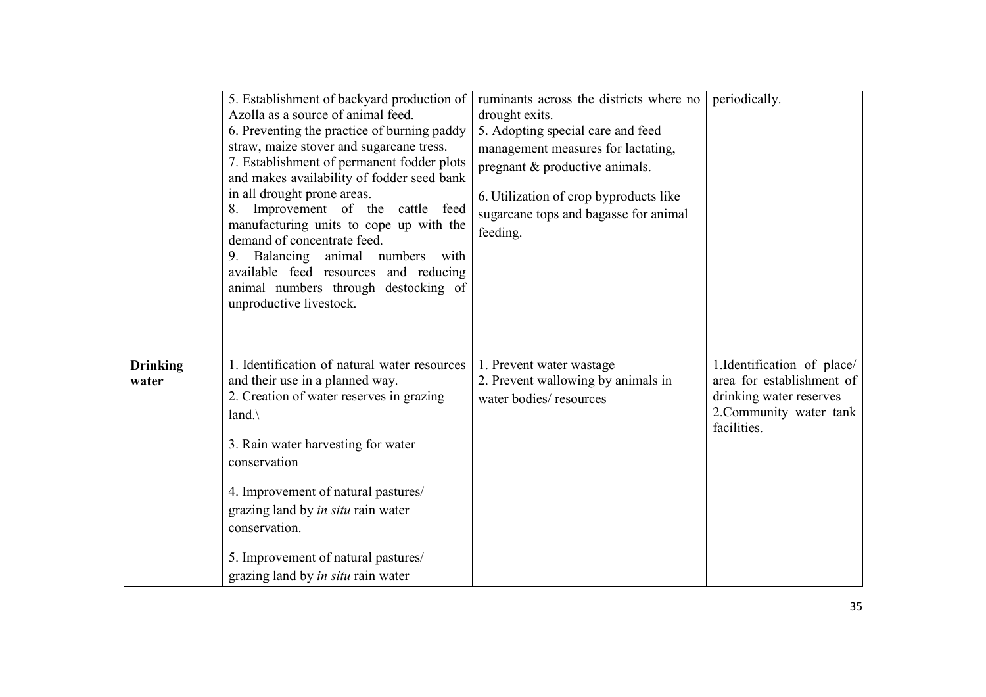|                          | 5. Establishment of backyard production of<br>Azolla as a source of animal feed.<br>6. Preventing the practice of burning paddy<br>straw, maize stover and sugarcane tress.<br>7. Establishment of permanent fodder plots<br>and makes availability of fodder seed bank<br>in all drought prone areas.<br>Improvement of the cattle feed<br>manufacturing units to cope up with the<br>demand of concentrate feed.<br>Balancing<br>animal numbers with<br>9<br>available feed resources and reducing<br>animal numbers through destocking of<br>unproductive livestock. | ruminants across the districts where no<br>drought exits.<br>5. Adopting special care and feed<br>management measures for lactating,<br>pregnant & productive animals.<br>6. Utilization of crop byproducts like<br>sugarcane tops and bagasse for animal<br>feeding. | periodically.                                                                                                                 |
|--------------------------|-------------------------------------------------------------------------------------------------------------------------------------------------------------------------------------------------------------------------------------------------------------------------------------------------------------------------------------------------------------------------------------------------------------------------------------------------------------------------------------------------------------------------------------------------------------------------|-----------------------------------------------------------------------------------------------------------------------------------------------------------------------------------------------------------------------------------------------------------------------|-------------------------------------------------------------------------------------------------------------------------------|
| <b>Drinking</b><br>water | 1. Identification of natural water resources<br>and their use in a planned way.<br>2. Creation of water reserves in grazing<br>land. $\langle$<br>3. Rain water harvesting for water<br>conservation<br>4. Improvement of natural pastures/<br>grazing land by in situ rain water<br>conservation.<br>5. Improvement of natural pastures/<br>grazing land by <i>in situ</i> rain water                                                                                                                                                                                  | 1. Prevent water wastage<br>2. Prevent wallowing by animals in<br>water bodies/resources                                                                                                                                                                              | 1. Identification of place/<br>area for establishment of<br>drinking water reserves<br>2. Community water tank<br>facilities. |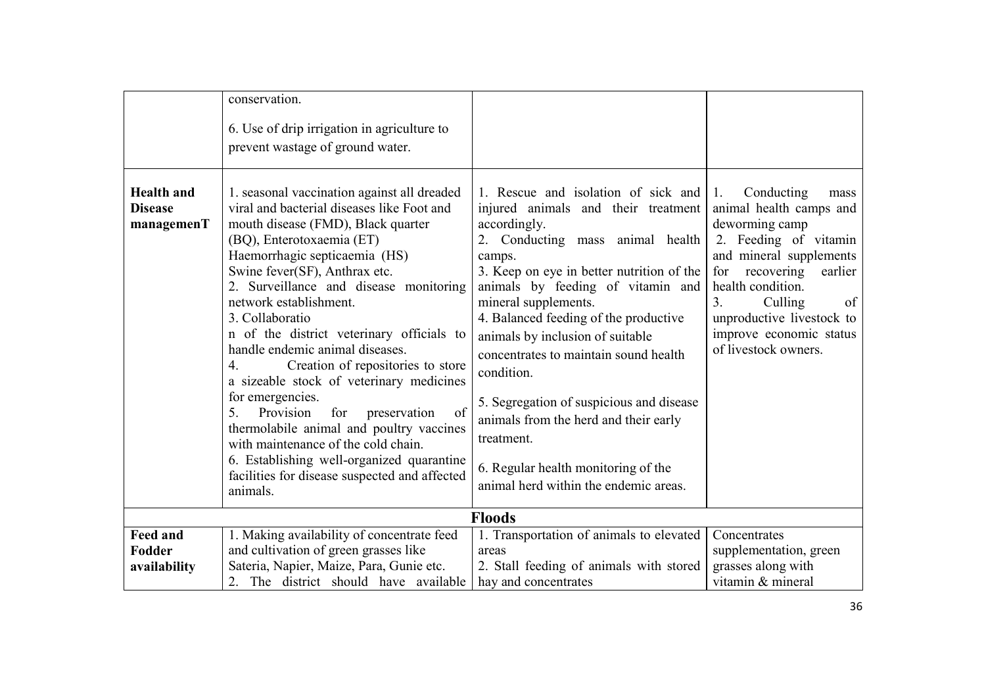|                                                   | conservation.<br>6. Use of drip irrigation in agriculture to<br>prevent wastage of ground water.                                                                                                                                                                                                                                                                                                                                                                                                                                                                                                                                                                                                                                                              |                                                                                                                                                                                                                                                                                                                                                                                                                                                                                                                                                                                   |                                                                                                                                                                                                                                                                                             |
|---------------------------------------------------|---------------------------------------------------------------------------------------------------------------------------------------------------------------------------------------------------------------------------------------------------------------------------------------------------------------------------------------------------------------------------------------------------------------------------------------------------------------------------------------------------------------------------------------------------------------------------------------------------------------------------------------------------------------------------------------------------------------------------------------------------------------|-----------------------------------------------------------------------------------------------------------------------------------------------------------------------------------------------------------------------------------------------------------------------------------------------------------------------------------------------------------------------------------------------------------------------------------------------------------------------------------------------------------------------------------------------------------------------------------|---------------------------------------------------------------------------------------------------------------------------------------------------------------------------------------------------------------------------------------------------------------------------------------------|
| <b>Health</b> and<br><b>Disease</b><br>managemenT | 1. seasonal vaccination against all dreaded<br>viral and bacterial diseases like Foot and<br>mouth disease (FMD), Black quarter<br>(BQ), Enterotoxaemia (ET)<br>Haemorrhagic septicaemia (HS)<br>Swine fever(SF), Anthrax etc.<br>2. Surveillance and disease monitoring<br>network establishment.<br>3. Collaboratio<br>n of the district veterinary officials to<br>handle endemic animal diseases.<br>Creation of repositories to store<br>4.<br>a sizeable stock of veterinary medicines<br>for emergencies.<br>Provision<br>of<br>5.<br>for<br>preservation<br>thermolabile animal and poultry vaccines<br>with maintenance of the cold chain.<br>6. Establishing well-organized quarantine<br>facilities for disease suspected and affected<br>animals. | 1. Rescue and isolation of sick and $ 1 $ .<br>injured animals and their treatment<br>accordingly.<br>2. Conducting mass animal health<br>camps.<br>3. Keep on eye in better nutrition of the<br>animals by feeding of vitamin and<br>mineral supplements.<br>4. Balanced feeding of the productive<br>animals by inclusion of suitable<br>concentrates to maintain sound health<br>condition.<br>5. Segregation of suspicious and disease<br>animals from the herd and their early<br>treatment.<br>6. Regular health monitoring of the<br>animal herd within the endemic areas. | Conducting<br>mass<br>animal health camps and<br>deworming camp<br>2. Feeding of vitamin<br>and mineral supplements<br>recovering<br>earlier<br>for<br>health condition.<br>of<br>Culling<br>3 <sub>1</sub><br>unproductive livestock to<br>improve economic status<br>of livestock owners. |
|                                                   |                                                                                                                                                                                                                                                                                                                                                                                                                                                                                                                                                                                                                                                                                                                                                               | <b>Floods</b>                                                                                                                                                                                                                                                                                                                                                                                                                                                                                                                                                                     |                                                                                                                                                                                                                                                                                             |
| <b>Feed and</b><br>Fodder<br>availability         | 1. Making availability of concentrate feed<br>and cultivation of green grasses like<br>Sateria, Napier, Maize, Para, Gunie etc.<br>2. The district should have available                                                                                                                                                                                                                                                                                                                                                                                                                                                                                                                                                                                      | 1. Transportation of animals to elevated<br>areas<br>2. Stall feeding of animals with stored<br>hay and concentrates                                                                                                                                                                                                                                                                                                                                                                                                                                                              | Concentrates<br>supplementation, green<br>grasses along with<br>vitamin & mineral                                                                                                                                                                                                           |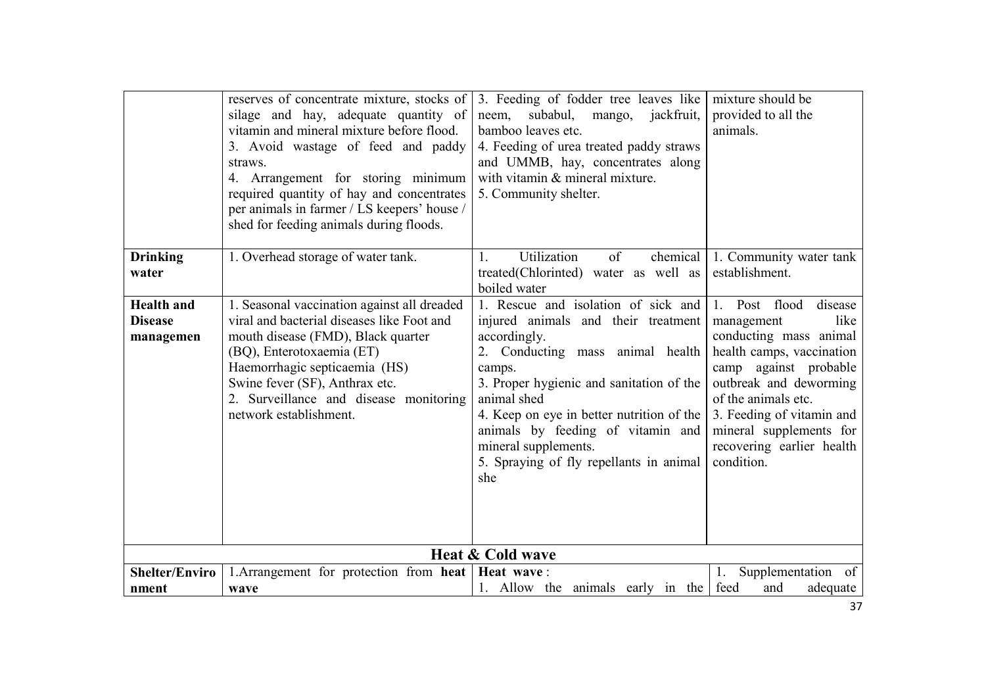|                                                  | reserves of concentrate mixture, stocks of<br>silage and hay, adequate quantity of<br>vitamin and mineral mixture before flood.<br>3. Avoid wastage of feed and paddy<br>straws.<br>4. Arrangement for storing minimum<br>required quantity of hay and concentrates<br>per animals in farmer / LS keepers' house /<br>shed for feeding animals during floods. | 3. Feeding of fodder tree leaves like<br>subabul, mango, jackfruit,<br>neem,<br>bamboo leaves etc.<br>4. Feeding of urea treated paddy straws<br>and UMMB, hay, concentrates along<br>with vitamin & mineral mixture.<br>5. Community shelter.                                                                                                                  | mixture should be<br>provided to all the<br>animals.                                                                                                                                                                                                                               |
|--------------------------------------------------|---------------------------------------------------------------------------------------------------------------------------------------------------------------------------------------------------------------------------------------------------------------------------------------------------------------------------------------------------------------|-----------------------------------------------------------------------------------------------------------------------------------------------------------------------------------------------------------------------------------------------------------------------------------------------------------------------------------------------------------------|------------------------------------------------------------------------------------------------------------------------------------------------------------------------------------------------------------------------------------------------------------------------------------|
| <b>Drinking</b><br>water                         | 1. Overhead storage of water tank.                                                                                                                                                                                                                                                                                                                            | Utilization<br>of<br>chemical<br>1.<br>treated(Chlorinted) water as well as<br>boiled water                                                                                                                                                                                                                                                                     | 1. Community water tank<br>establishment.                                                                                                                                                                                                                                          |
| <b>Health</b> and<br><b>Disease</b><br>managemen | 1. Seasonal vaccination against all dreaded<br>viral and bacterial diseases like Foot and<br>mouth disease (FMD), Black quarter<br>(BQ), Enterotoxaemia (ET)<br>Haemorrhagic septicaemia (HS)<br>Swine fever (SF), Anthrax etc.<br>2. Surveillance and disease monitoring<br>network establishment.                                                           | 1. Rescue and isolation of sick and<br>injured animals and their treatment<br>accordingly.<br>2. Conducting mass animal health<br>camps.<br>3. Proper hygienic and sanitation of the<br>animal shed<br>4. Keep on eye in better nutrition of the<br>animals by feeding of vitamin and<br>mineral supplements.<br>5. Spraying of fly repellants in animal<br>she | 1. Post flood<br>disease<br>like<br>management<br>conducting mass animal<br>health camps, vaccination<br>camp against probable<br>outbreak and deworming<br>of the animals etc.<br>3. Feeding of vitamin and<br>mineral supplements for<br>recovering earlier health<br>condition. |
|                                                  |                                                                                                                                                                                                                                                                                                                                                               | Heat & Cold wave                                                                                                                                                                                                                                                                                                                                                |                                                                                                                                                                                                                                                                                    |
| <b>Shelter/Enviro</b><br>nment                   | 1. Arrangement for protection from heat   Heat wave:<br>wave                                                                                                                                                                                                                                                                                                  | 1. Allow the animals early in the                                                                                                                                                                                                                                                                                                                               | 1.<br>Supplementation of<br>feed<br>and<br>adequate                                                                                                                                                                                                                                |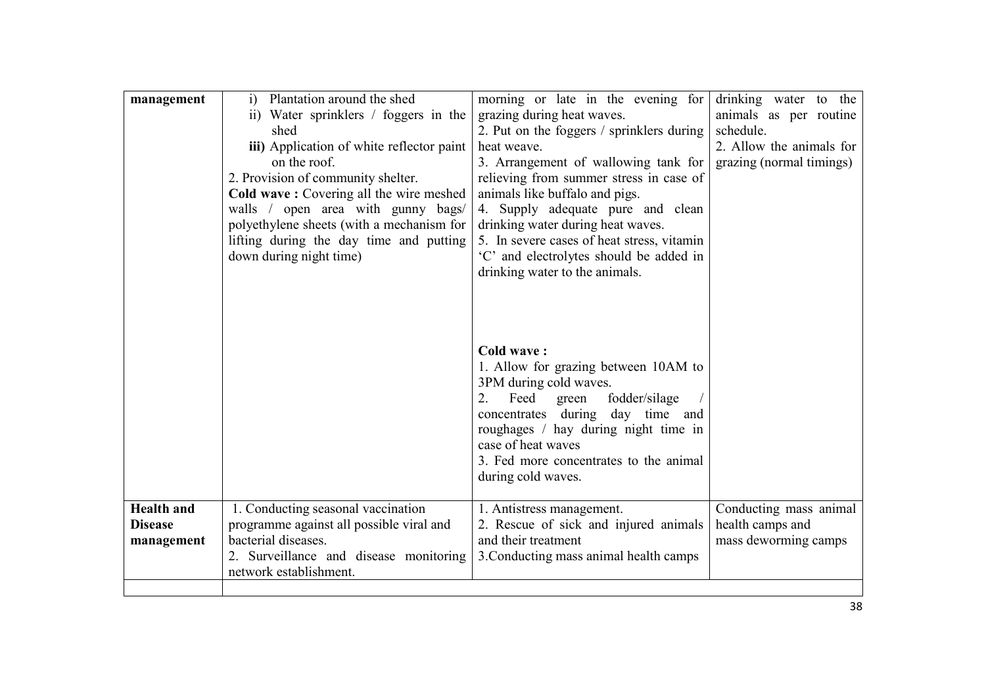| management                                        | Plantation around the shed<br>$\ddot{1}$<br>ii) Water sprinklers / foggers in the<br>shed<br>iii) Application of white reflector paint<br>on the roof.<br>2. Provision of community shelter.<br>Cold wave: Covering all the wire meshed<br>walls / open area with gunny bags/<br>polyethylene sheets (with a mechanism for<br>lifting during the day time and putting<br>down during night time) | morning or late in the evening for<br>grazing during heat waves.<br>2. Put on the foggers / sprinklers during<br>heat weave.<br>3. Arrangement of wallowing tank for<br>relieving from summer stress in case of<br>animals like buffalo and pigs.<br>4. Supply adequate pure and clean<br>drinking water during heat waves.<br>5. In severe cases of heat stress, vitamin<br>'C' and electrolytes should be added in<br>drinking water to the animals. | drinking water to the<br>animals as per routine<br>schedule.<br>2. Allow the animals for<br>grazing (normal timings) |
|---------------------------------------------------|--------------------------------------------------------------------------------------------------------------------------------------------------------------------------------------------------------------------------------------------------------------------------------------------------------------------------------------------------------------------------------------------------|--------------------------------------------------------------------------------------------------------------------------------------------------------------------------------------------------------------------------------------------------------------------------------------------------------------------------------------------------------------------------------------------------------------------------------------------------------|----------------------------------------------------------------------------------------------------------------------|
| <b>Health</b> and<br><b>Disease</b><br>management | 1. Conducting seasonal vaccination<br>programme against all possible viral and<br>bacterial diseases.                                                                                                                                                                                                                                                                                            | <b>Cold wave:</b><br>1. Allow for grazing between 10AM to<br>3PM during cold waves.<br>Feed green<br>fodder/silage<br>2.<br>concentrates during day time and<br>roughages / hay during night time in<br>case of heat waves<br>3. Fed more concentrates to the animal<br>during cold waves.<br>1. Antistress management.<br>2. Rescue of sick and injured animals<br>and their treatment                                                                | Conducting mass animal<br>health camps and<br>mass deworming camps                                                   |
|                                                   | 2. Surveillance and disease monitoring<br>network establishment.                                                                                                                                                                                                                                                                                                                                 | 3. Conducting mass animal health camps                                                                                                                                                                                                                                                                                                                                                                                                                 |                                                                                                                      |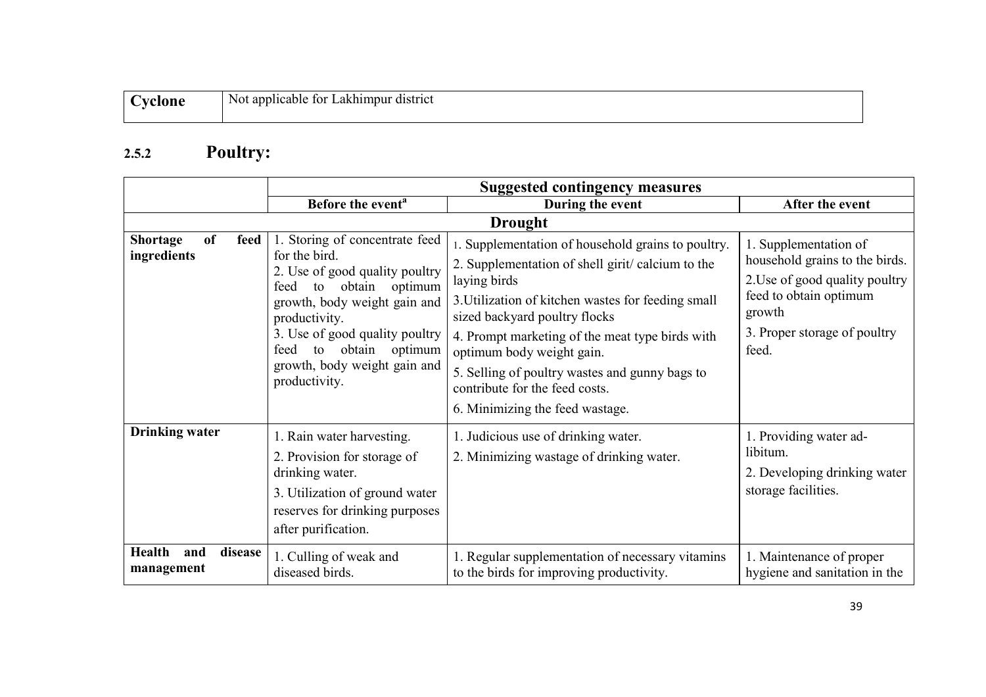| applicable<br>e district :<br>N0t<br>Lakhimpur<br>tor |
|-------------------------------------------------------|
|                                                       |

### 2.5.2 Poultry:

|                                                     | <b>Suggested contingency measures</b>                                                                                                                                                                                                                                                    |                                                                                                                                                                                                                                                                                                                                                                                                                      |                                                                                                                                                                        |
|-----------------------------------------------------|------------------------------------------------------------------------------------------------------------------------------------------------------------------------------------------------------------------------------------------------------------------------------------------|----------------------------------------------------------------------------------------------------------------------------------------------------------------------------------------------------------------------------------------------------------------------------------------------------------------------------------------------------------------------------------------------------------------------|------------------------------------------------------------------------------------------------------------------------------------------------------------------------|
|                                                     | Before the event <sup>a</sup>                                                                                                                                                                                                                                                            | During the event                                                                                                                                                                                                                                                                                                                                                                                                     | After the event                                                                                                                                                        |
|                                                     |                                                                                                                                                                                                                                                                                          | <b>Drought</b>                                                                                                                                                                                                                                                                                                                                                                                                       |                                                                                                                                                                        |
| <b>of</b><br><b>Shortage</b><br>feed<br>ingredients | 1. Storing of concentrate feed<br>for the bird.<br>2. Use of good quality poultry<br>obtain<br>optimum<br>feed<br>to<br>growth, body weight gain and<br>productivity.<br>3. Use of good quality poultry<br>to obtain<br>optimum<br>feed<br>growth, body weight gain and<br>productivity. | 1. Supplementation of household grains to poultry.<br>2. Supplementation of shell girit/calcium to the<br>laying birds<br>3. Utilization of kitchen wastes for feeding small<br>sized backyard poultry flocks<br>4. Prompt marketing of the meat type birds with<br>optimum body weight gain.<br>5. Selling of poultry wastes and gunny bags to<br>contribute for the feed costs.<br>6. Minimizing the feed wastage. | 1. Supplementation of<br>household grains to the birds.<br>2. Use of good quality poultry<br>feed to obtain optimum<br>growth<br>3. Proper storage of poultry<br>feed. |
| <b>Drinking water</b>                               | 1. Rain water harvesting.<br>2. Provision for storage of<br>drinking water.<br>3. Utilization of ground water<br>reserves for drinking purposes<br>after purification.                                                                                                                   | 1. Judicious use of drinking water.<br>2. Minimizing wastage of drinking water.                                                                                                                                                                                                                                                                                                                                      | 1. Providing water ad-<br>libitum.<br>2. Developing drinking water<br>storage facilities.                                                                              |
| <b>Health</b><br>disease<br>and<br>management       | 1. Culling of weak and<br>diseased birds.                                                                                                                                                                                                                                                | 1. Regular supplementation of necessary vitamins<br>to the birds for improving productivity.                                                                                                                                                                                                                                                                                                                         | 1. Maintenance of proper<br>hygiene and sanitation in the                                                                                                              |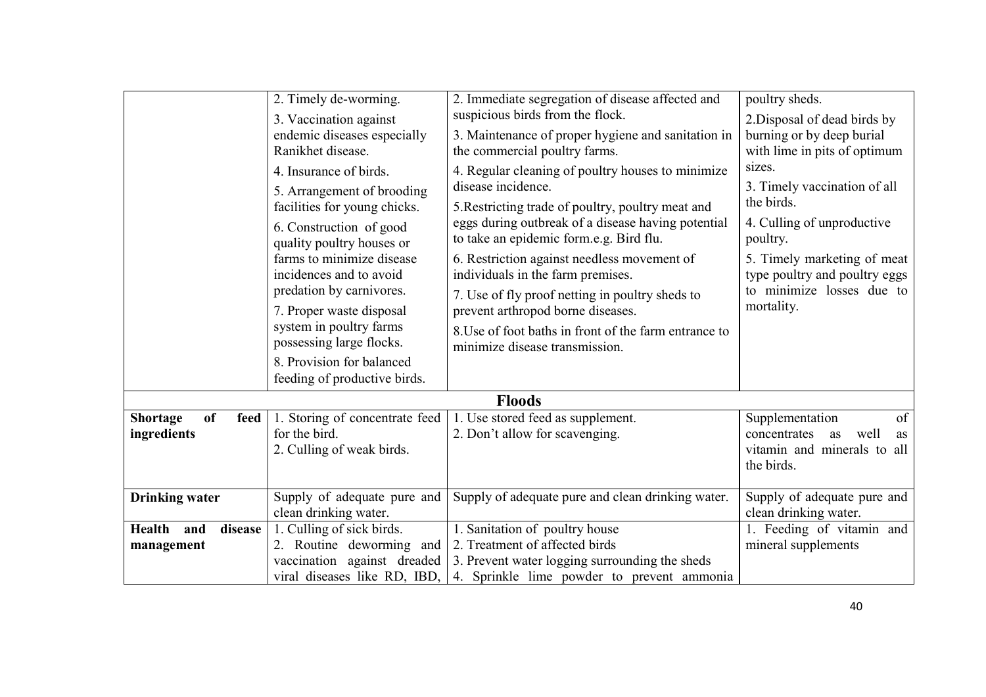|                                              | 2. Timely de-worming.<br>3. Vaccination against<br>endemic diseases especially<br>Ranikhet disease.<br>4. Insurance of birds.<br>5. Arrangement of brooding<br>facilities for young chicks.<br>6. Construction of good<br>quality poultry houses or<br>farms to minimize disease<br>incidences and to avoid<br>predation by carnivores.<br>7. Proper waste disposal<br>system in poultry farms | 2. Immediate segregation of disease affected and<br>suspicious birds from the flock.<br>3. Maintenance of proper hygiene and sanitation in<br>the commercial poultry farms.<br>4. Regular cleaning of poultry houses to minimize<br>disease incidence.<br>5. Restricting trade of poultry, poultry meat and<br>eggs during outbreak of a disease having potential<br>to take an epidemic form.e.g. Bird flu.<br>6. Restriction against needless movement of<br>individuals in the farm premises.<br>7. Use of fly proof netting in poultry sheds to<br>prevent arthropod borne diseases.<br>8. Use of foot baths in front of the farm entrance to | poultry sheds.<br>2. Disposal of dead birds by<br>burning or by deep burial<br>with lime in pits of optimum<br>sizes.<br>3. Timely vaccination of all<br>the birds.<br>4. Culling of unproductive<br>poultry.<br>5. Timely marketing of meat<br>type poultry and poultry eggs<br>to minimize losses due to<br>mortality. |
|----------------------------------------------|------------------------------------------------------------------------------------------------------------------------------------------------------------------------------------------------------------------------------------------------------------------------------------------------------------------------------------------------------------------------------------------------|---------------------------------------------------------------------------------------------------------------------------------------------------------------------------------------------------------------------------------------------------------------------------------------------------------------------------------------------------------------------------------------------------------------------------------------------------------------------------------------------------------------------------------------------------------------------------------------------------------------------------------------------------|--------------------------------------------------------------------------------------------------------------------------------------------------------------------------------------------------------------------------------------------------------------------------------------------------------------------------|
|                                              | possessing large flocks.<br>8. Provision for balanced<br>feeding of productive birds.                                                                                                                                                                                                                                                                                                          | minimize disease transmission.                                                                                                                                                                                                                                                                                                                                                                                                                                                                                                                                                                                                                    |                                                                                                                                                                                                                                                                                                                          |
|                                              |                                                                                                                                                                                                                                                                                                                                                                                                | <b>Floods</b>                                                                                                                                                                                                                                                                                                                                                                                                                                                                                                                                                                                                                                     |                                                                                                                                                                                                                                                                                                                          |
| <b>Shortage</b><br>of<br>feed<br>ingredients | 1. Storing of concentrate feed<br>for the bird.<br>2. Culling of weak birds.                                                                                                                                                                                                                                                                                                                   | 1. Use stored feed as supplement.<br>2. Don't allow for scavenging.                                                                                                                                                                                                                                                                                                                                                                                                                                                                                                                                                                               | of<br>Supplementation<br>well<br>concentrates<br>as<br>as<br>vitamin and minerals to all<br>the birds.                                                                                                                                                                                                                   |
| <b>Drinking water</b>                        | Supply of adequate pure and<br>clean drinking water.                                                                                                                                                                                                                                                                                                                                           | Supply of adequate pure and clean drinking water.                                                                                                                                                                                                                                                                                                                                                                                                                                                                                                                                                                                                 | Supply of adequate pure and<br>clean drinking water.                                                                                                                                                                                                                                                                     |
| Health and<br>disease<br>management          | 1. Culling of sick birds.<br>2. Routine deworming and<br>vaccination against dreaded<br>viral diseases like RD, IBD,                                                                                                                                                                                                                                                                           | 1. Sanitation of poultry house<br>2. Treatment of affected birds<br>3. Prevent water logging surrounding the sheds<br>4. Sprinkle lime powder to prevent ammonia                                                                                                                                                                                                                                                                                                                                                                                                                                                                                  | 1. Feeding of vitamin and<br>mineral supplements                                                                                                                                                                                                                                                                         |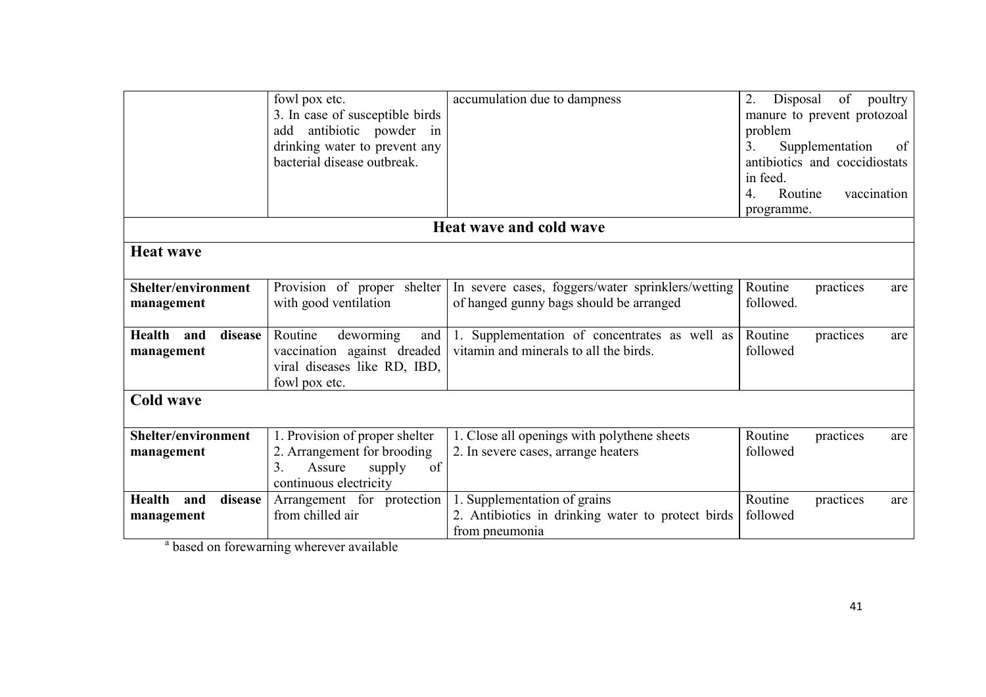|                                        | fowl pox etc.<br>3. In case of susceptible birds<br>antibiotic powder in<br>add<br>drinking water to prevent any<br>bacterial disease outbreak. | accumulation due to dampness                                                                        | of<br>2.<br>Disposal<br>poultry<br>manure to prevent protozoal<br>problem<br>Supplementation<br>3.<br>of<br>antibiotics and coccidiostats<br>in feed.<br>Routine<br>vaccination<br>4.<br>programme. |
|----------------------------------------|-------------------------------------------------------------------------------------------------------------------------------------------------|-----------------------------------------------------------------------------------------------------|-----------------------------------------------------------------------------------------------------------------------------------------------------------------------------------------------------|
|                                        |                                                                                                                                                 | <b>Heat wave and cold wave</b>                                                                      |                                                                                                                                                                                                     |
| <b>Heat wave</b>                       |                                                                                                                                                 |                                                                                                     |                                                                                                                                                                                                     |
| Shelter/environment<br>management      | Provision of proper shelter<br>with good ventilation                                                                                            | In severe cases, foggers/water sprinklers/wetting<br>of hanged gunny bags should be arranged        | Routine<br>practices<br>are<br>followed.                                                                                                                                                            |
| Health<br>disease<br>and<br>management | Routine<br>deworming<br>and<br>vaccination against dreaded<br>viral diseases like RD, IBD,<br>fowl pox etc.                                     | 1. Supplementation of concentrates as well as<br>vitamin and minerals to all the birds.             | Routine<br>practices<br>are<br>followed                                                                                                                                                             |
| <b>Cold wave</b>                       |                                                                                                                                                 |                                                                                                     |                                                                                                                                                                                                     |
| Shelter/environment<br>management      | 1. Provision of proper shelter<br>2. Arrangement for brooding<br>3.<br>of<br>Assure<br>supply<br>continuous electricity                         | 1. Close all openings with polythene sheets<br>2. In severe cases, arrange heaters                  | Routine<br>practices<br>are<br>followed                                                                                                                                                             |
| Health<br>disease<br>and<br>management | Arrangement for protection<br>from chilled air                                                                                                  | 1. Supplementation of grains<br>2. Antibiotics in drinking water to protect birds<br>from pneumonia | Routine<br>practices<br>are<br>followed                                                                                                                                                             |

<sup>a</sup> based on forewarning wherever available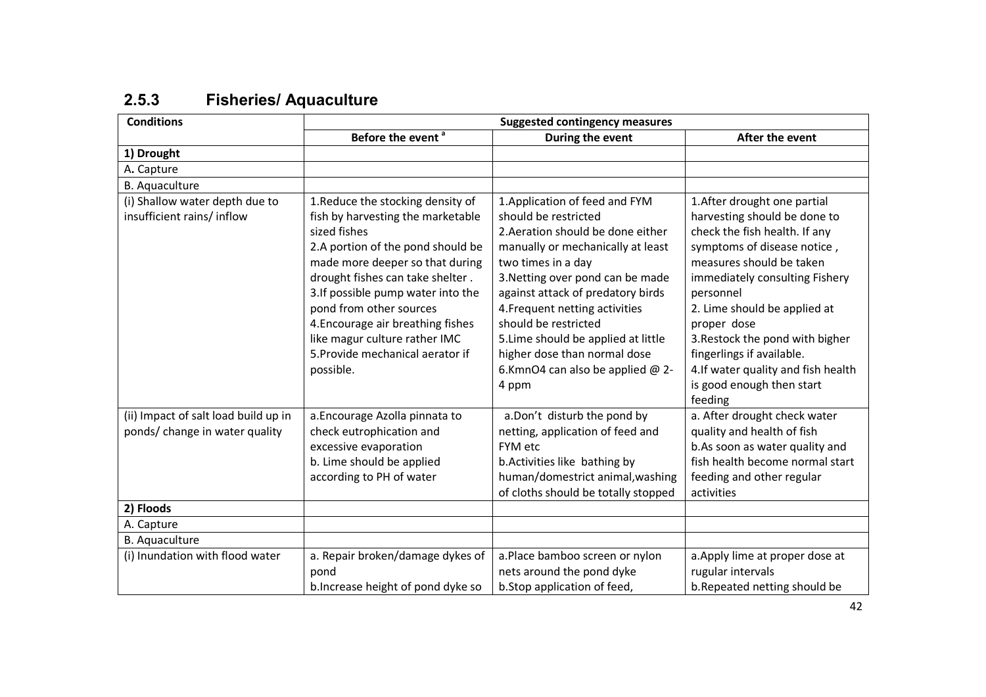| 2.5.3 | <b>Fisheries/ Aquaculture</b> |  |
|-------|-------------------------------|--|
|-------|-------------------------------|--|

| <b>Conditions</b>                                           | <b>Suggested contingency measures</b>                                  |                                                                     |                                                              |
|-------------------------------------------------------------|------------------------------------------------------------------------|---------------------------------------------------------------------|--------------------------------------------------------------|
|                                                             | Before the event <sup>a</sup>                                          | During the event                                                    | After the event                                              |
| 1) Drought                                                  |                                                                        |                                                                     |                                                              |
| A. Capture                                                  |                                                                        |                                                                     |                                                              |
| <b>B.</b> Aquaculture                                       |                                                                        |                                                                     |                                                              |
| (i) Shallow water depth due to<br>insufficient rains/inflow | 1. Reduce the stocking density of<br>fish by harvesting the marketable | 1. Application of feed and FYM<br>should be restricted              | 1. After drought one partial<br>harvesting should be done to |
|                                                             | sized fishes                                                           | 2. Aeration should be done either                                   | check the fish health. If any                                |
|                                                             | 2.A portion of the pond should be                                      | manually or mechanically at least                                   | symptoms of disease notice,                                  |
|                                                             | made more deeper so that during                                        | two times in a day                                                  | measures should be taken                                     |
|                                                             | drought fishes can take shelter.                                       | 3. Netting over pond can be made                                    | immediately consulting Fishery                               |
|                                                             | 3.If possible pump water into the                                      | against attack of predatory birds                                   | personnel                                                    |
|                                                             | pond from other sources<br>4. Encourage air breathing fishes           | 4. Frequent netting activities<br>should be restricted              | 2. Lime should be applied at<br>proper dose                  |
|                                                             | like magur culture rather IMC                                          |                                                                     | 3. Restock the pond with bigher                              |
|                                                             | 5. Provide mechanical aerator if                                       | 5. Lime should be applied at little<br>higher dose than normal dose | fingerlings if available.                                    |
|                                                             |                                                                        | 6.KmnO4 can also be applied @ 2-                                    | 4.If water quality and fish health                           |
|                                                             | possible.                                                              | 4 ppm                                                               | is good enough then start                                    |
|                                                             |                                                                        |                                                                     | feeding                                                      |
| (ii) Impact of salt load build up in                        | a. Encourage Azolla pinnata to                                         | a.Don't disturb the pond by                                         | a. After drought check water                                 |
| ponds/ change in water quality                              | check eutrophication and                                               | netting, application of feed and                                    | quality and health of fish                                   |
|                                                             | excessive evaporation                                                  | FYM etc                                                             | b.As soon as water quality and                               |
|                                                             | b. Lime should be applied                                              | b. Activities like bathing by                                       | fish health become normal start                              |
|                                                             | according to PH of water                                               | human/domestrict animal, washing                                    | feeding and other regular                                    |
|                                                             |                                                                        | of cloths should be totally stopped                                 | activities                                                   |
| 2) Floods                                                   |                                                                        |                                                                     |                                                              |
| A. Capture                                                  |                                                                        |                                                                     |                                                              |
| <b>B.</b> Aquaculture                                       |                                                                        |                                                                     |                                                              |
| (i) Inundation with flood water                             | a. Repair broken/damage dykes of                                       | a.Place bamboo screen or nylon                                      | a. Apply lime at proper dose at                              |
|                                                             | pond                                                                   | nets around the pond dyke                                           | rugular intervals                                            |
|                                                             | b. Increase height of pond dyke so                                     | b.Stop application of feed,                                         | b.Repeated netting should be                                 |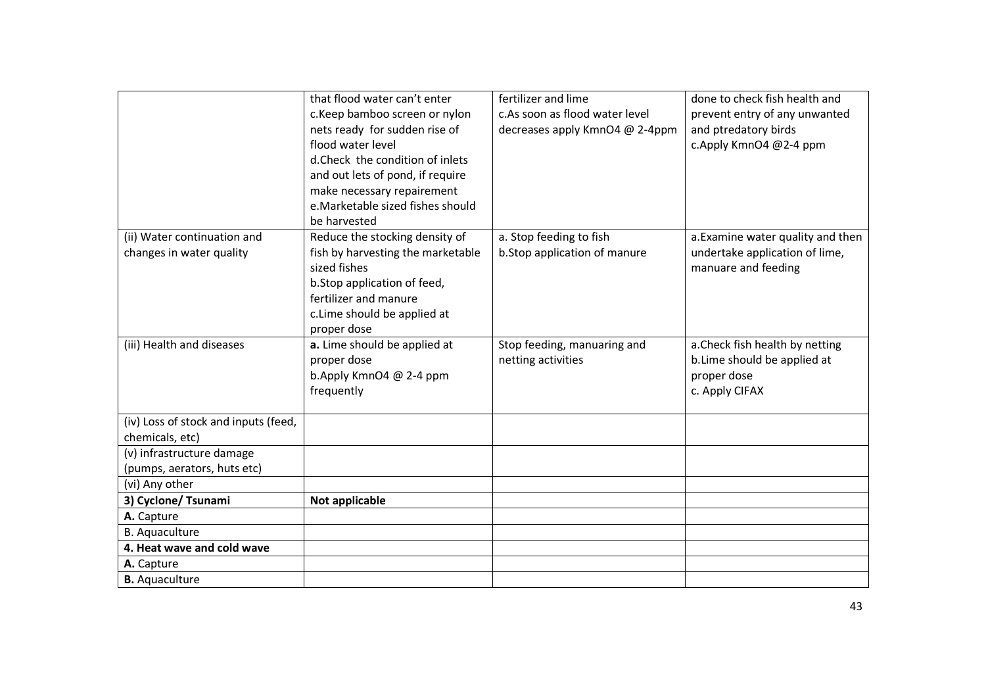|                                      | that flood water can't enter      | fertilizer and lime            | done to check fish health and     |
|--------------------------------------|-----------------------------------|--------------------------------|-----------------------------------|
|                                      | c.Keep bamboo screen or nylon     | c.As soon as flood water level | prevent entry of any unwanted     |
|                                      | nets ready for sudden rise of     | decreases apply KmnO4 @ 2-4ppm | and ptredatory birds              |
|                                      | flood water level                 |                                | c.Apply KmnO4 @2-4 ppm            |
|                                      | d.Check the condition of inlets   |                                |                                   |
|                                      | and out lets of pond, if require  |                                |                                   |
|                                      | make necessary repairement        |                                |                                   |
|                                      | e.Marketable sized fishes should  |                                |                                   |
|                                      | be harvested                      |                                |                                   |
| (ii) Water continuation and          | Reduce the stocking density of    | a. Stop feeding to fish        | a. Examine water quality and then |
| changes in water quality             | fish by harvesting the marketable | b.Stop application of manure   | undertake application of lime,    |
|                                      | sized fishes                      |                                | manuare and feeding               |
|                                      | b.Stop application of feed,       |                                |                                   |
|                                      | fertilizer and manure             |                                |                                   |
|                                      | c.Lime should be applied at       |                                |                                   |
|                                      | proper dose                       |                                |                                   |
| (iii) Health and diseases            | a. Lime should be applied at      | Stop feeding, manuaring and    | a. Check fish health by netting   |
|                                      | proper dose                       | netting activities             | b. Lime should be applied at      |
|                                      | b.Apply KmnO4 @ 2-4 ppm           |                                | proper dose                       |
|                                      | frequently                        |                                | c. Apply CIFAX                    |
|                                      |                                   |                                |                                   |
| (iv) Loss of stock and inputs (feed, |                                   |                                |                                   |
| chemicals, etc)                      |                                   |                                |                                   |
| (v) infrastructure damage            |                                   |                                |                                   |
| (pumps, aerators, huts etc)          |                                   |                                |                                   |
| (vi) Any other                       |                                   |                                |                                   |
| 3) Cyclone/ Tsunami                  | Not applicable                    |                                |                                   |
| A. Capture                           |                                   |                                |                                   |
| <b>B.</b> Aquaculture                |                                   |                                |                                   |
| 4. Heat wave and cold wave           |                                   |                                |                                   |
| A. Capture                           |                                   |                                |                                   |
| <b>B.</b> Aquaculture                |                                   |                                |                                   |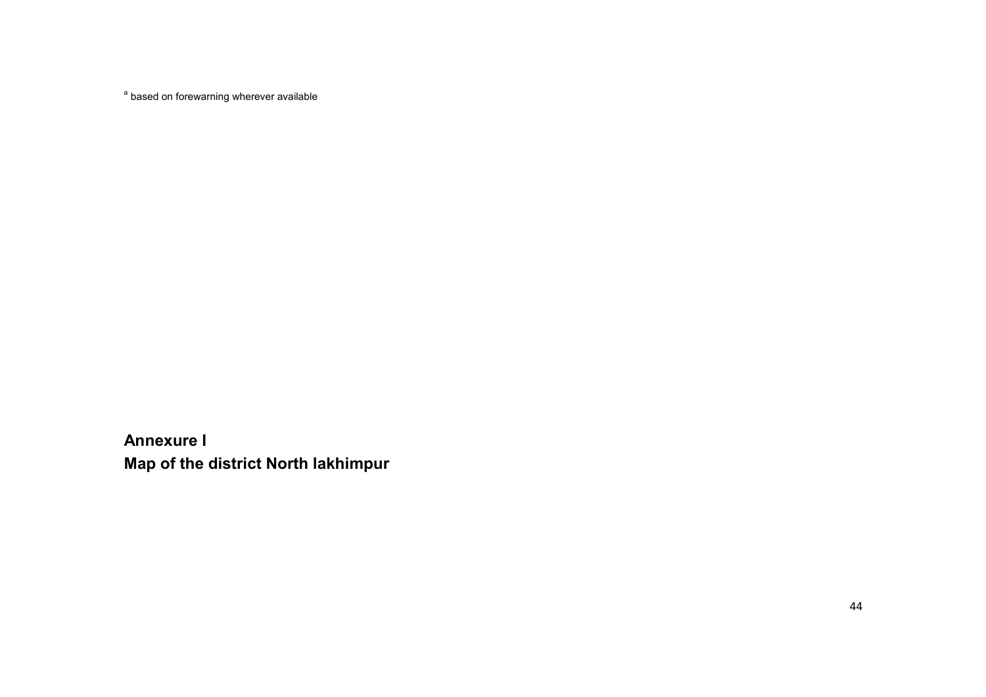<sup>a</sup> based on forewarning wherever available

Annexure I Map of the district North lakhimpur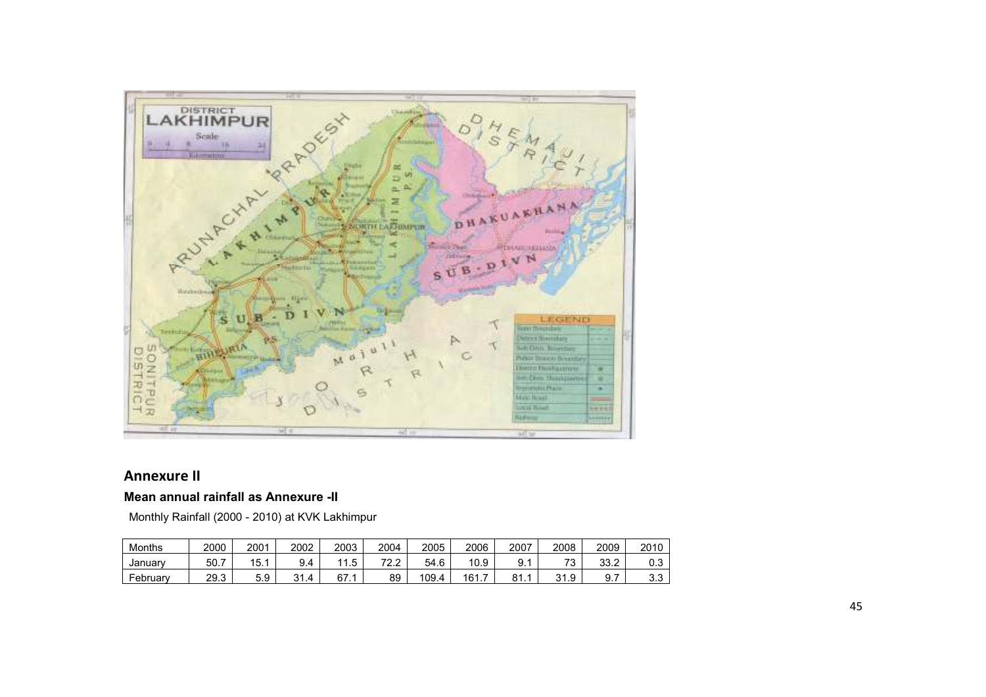

#### Annexure II

#### Mean annual rainfall as Annexure -II

Monthly Rainfall (2000 - 2010) at KVK Lakhimpur

| Months   | 2000 | 2001          | 2002 | 2003               | 2004            | 2005       | 2006                 | 2007                  | 2008                          | 2009         | 2010                    |
|----------|------|---------------|------|--------------------|-----------------|------------|----------------------|-----------------------|-------------------------------|--------------|-------------------------|
| Januarv  | 50.7 | ∣ວ.∶          | ັ.   | ∽<br>$\cdot \cdot$ | 700<br><u>.</u> | -6<br>54.6 | 10.9                 | ⊌.∶                   | $\overline{\phantom{a}}$<br>J | 33 2<br>ے. ت | ∪.∪                     |
| February | 29.3 | $\sim$<br>ວ.ອ | ົ    | 67.                | 89              | 109.4      | -<br>16 <sup>1</sup> | O <sub>4</sub><br>01. | 21<br>1.9                     | 9.           | $\sim$<br>$\sim$<br>ა.ა |